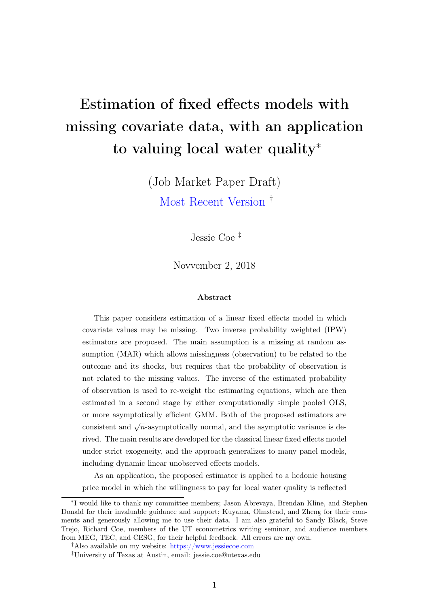# Estimation of fixed effects models with missing covariate data, with an application to valuing local water quality<sup>∗</sup>

(Job Market Paper Draft) [Most Recent Version](https://drive.google.com/file/d/1uFo8QFPLVcWVsymeB1JtVWyArWm2F8j2/view?usp=sharing) †

Jessie Coe ‡

Novvember 2, 2018

#### Abstract

This paper considers estimation of a linear fixed effects model in which covariate values may be missing. Two inverse probability weighted (IPW) estimators are proposed. The main assumption is a missing at random assumption (MAR) which allows missingness (observation) to be related to the outcome and its shocks, but requires that the probability of observation is not related to the missing values. The inverse of the estimated probability of observation is used to re-weight the estimating equations, which are then estimated in a second stage by either computationally simple pooled OLS, or more asymptotically efficient GMM. Both of the proposed estimators are consistent and  $\sqrt{n}$ -asymptotically normal, and the asymptotic variance is derived. The main results are developed for the classical linear fixed effects model under strict exogeneity, and the approach generalizes to many panel models, including dynamic linear unobserved effects models.

As an application, the proposed estimator is applied to a hedonic housing price model in which the willingness to pay for local water quality is reflected

<sup>∗</sup> I would like to thank my committee members; Jason Abrevaya, Brendan Kline, and Stephen Donald for their invaluable guidance and support; Kuyama, Olmstead, and Zheng for their comments and generously allowing me to use their data. I am also grateful to Sandy Black, Steve Trejo, Richard Coe, members of the UT econometrics writing seminar, and audience members from MEG, TEC, and CESG, for their helpful feedback. All errors are my own.

<sup>†</sup>Also available on my website: <https://www.jessiecoe.com>

<sup>‡</sup>University of Texas at Austin, email: jessie.coe@utexas.edu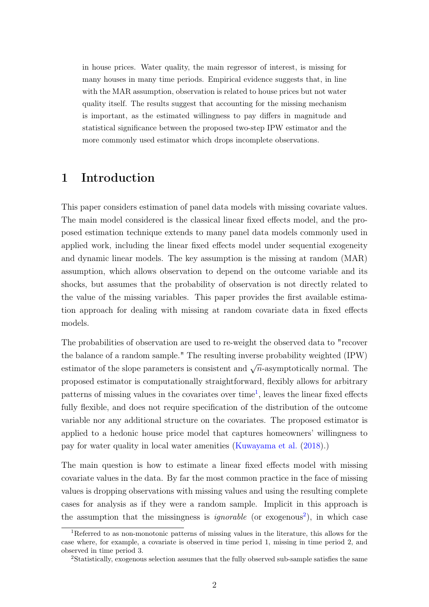in house prices. Water quality, the main regressor of interest, is missing for many houses in many time periods. Empirical evidence suggests that, in line with the MAR assumption, observation is related to house prices but not water quality itself. The results suggest that accounting for the missing mechanism is important, as the estimated willingness to pay differs in magnitude and statistical significance between the proposed two-step IPW estimator and the more commonly used estimator which drops incomplete observations.

# 1 Introduction

This paper considers estimation of panel data models with missing covariate values. The main model considered is the classical linear fixed effects model, and the proposed estimation technique extends to many panel data models commonly used in applied work, including the linear fixed effects model under sequential exogeneity and dynamic linear models. The key assumption is the missing at random (MAR) assumption, which allows observation to depend on the outcome variable and its shocks, but assumes that the probability of observation is not directly related to the value of the missing variables. This paper provides the first available estimation approach for dealing with missing at random covariate data in fixed effects models.

The probabilities of observation are used to re-weight the observed data to "recover the balance of a random sample." The resulting inverse probability weighted (IPW) estimator of the slope parameters is consistent and  $\sqrt{n}$ -asymptotically normal. The proposed estimator is computationally straightforward, flexibly allows for arbitrary patterns of missing values in the covariates over time<sup>[1](#page-1-0)</sup>, leaves the linear fixed effects fully flexible, and does not require specification of the distribution of the outcome variable nor any additional structure on the covariates. The proposed estimator is applied to a hedonic house price model that captures homeowners' willingness to pay for water quality in local water amenities [\(Kuwayama et al.](#page-45-0) [\(2018\)](#page-45-0).)

The main question is how to estimate a linear fixed effects model with missing covariate values in the data. By far the most common practice in the face of missing values is dropping observations with missing values and using the resulting complete cases for analysis as if they were a random sample. Implicit in this approach is the assumption that the missingness is *ignorable* (or exogenous<sup>[2](#page-1-1)</sup>), in which case

<span id="page-1-0"></span> $1<sup>1</sup>$ Referred to as non-monotonic patterns of missing values in the literature, this allows for the case where, for example, a covariate is observed in time period 1, missing in time period 2, and observed in time period 3.

<span id="page-1-1"></span><sup>2</sup>Statistically, exogenous selection assumes that the fully observed sub-sample satisfies the same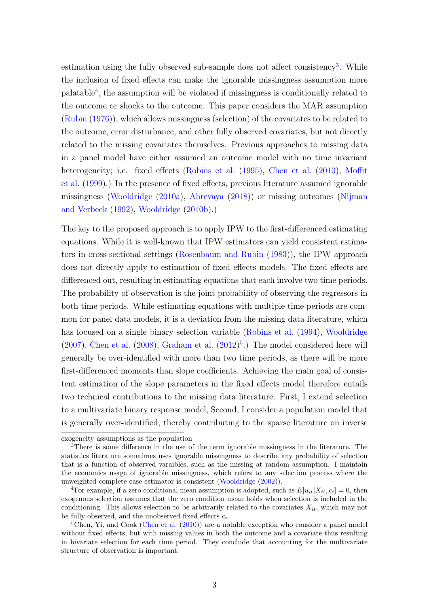estimation using the fully observed sub-sample does not affect consistency<sup>[3](#page-2-0)</sup>. While the inclusion of fixed effects can make the ignorable missingness assumption more palatable[4](#page-2-1) , the assumption will be violated if missingness is conditionally related to the outcome or shocks to the outcome. This paper considers the MAR assumption [\(Rubin](#page-47-0) [\(1976\)](#page-47-0)), which allows missingness (selection) of the covariates to be related to the outcome, error disturbance, and other fully observed covariates, but not directly related to the missing covariates themselves. Previous approaches to missing data in a panel model have either assumed an outcome model with no time invariant heterogeneity; i.e. fixed effects [\(Robins et al.](#page-46-0) [\(1995\)](#page-46-0), [Chen et al.](#page-45-1) [\(2010\)](#page-45-1), [Moffit](#page-46-1) [et al.](#page-46-1) [\(1999\)](#page-46-1).) In the presence of fixed effects, previous literature assumed ignorable missingness [\(Wooldridge](#page-47-1) [\(2010a\)](#page-47-1), [Abrevaya](#page-45-2) [\(2018\)](#page-45-2)) or missing outcomes [\(Nijman](#page-46-2) [and Verbeek](#page-46-2) [\(1992\)](#page-46-2), [Wooldridge](#page-47-2) [\(2010b\)](#page-47-2).)

The key to the proposed approach is to apply IPW to the first-differenced estimating equations. While it is well-known that IPW estimators can yield consistent estimators in cross-sectional settings [\(Rosenbaum and Rubin](#page-46-3) [\(1983\)](#page-46-3)), the IPW approach does not directly apply to estimation of fixed effects models. The fixed effects are differenced out, resulting in estimating equations that each involve two time periods. The probability of observation is the joint probability of observing the regressors in both time periods. While estimating equations with multiple time periods are common for panel data models, it is a deviation from the missing data literature, which has focused on a single binary selection variable [\(Robins et al.](#page-46-4) [\(1994\)](#page-46-4), [Wooldridge](#page-47-3)  $(2007)$ , [Chen et al.](#page-45-3)  $(2008)$ , [Graham et al.](#page-45-4)  $(2012)^5$  $(2012)^5$  $(2012)^5$ .) The model considered here will generally be over-identified with more than two time periods, as there will be more first-differenced moments than slope coefficients. Achieving the main goal of consistent estimation of the slope parameters in the fixed effects model therefore entails two technical contributions to the missing data literature. First, I extend selection to a multivariate binary response model, Second, I consider a population model that is generally over-identified, thereby contributing to the sparse literature on inverse

exogeneity assumptions as the population

<span id="page-2-0"></span><sup>&</sup>lt;sup>3</sup>There is some difference in the use of the term ignorable missingness in the literature. The statistics literature sometimes uses ignorable missingness to describe any probability of selection that is a function of observed varaibles, such as the missing at random assumption. I maintain the economics usage of ignorable missingness, which refers to any selection process where the unweighted complete case estimator is consistent [\(Wooldridge](#page-47-4) [\(2002\)](#page-47-4)).

<span id="page-2-1"></span><sup>&</sup>lt;sup>4</sup>For example, if a zero conditional mean assumption is adopted, such as  $E[u_{it}|X_{it}, c_i] = 0$ , then exogenous selection assumes that the zero condition mean holds when selection is included in the conditioning. This allows selection to be arbitrarily related to the covariates  $X_{it}$ , which may not be fully observed, and the unobserved fixed effects  $c_i$ .

<span id="page-2-2"></span> $5$ Chen, Yi, and Cook [\(Chen et al.](#page-45-1) [\(2010\)](#page-45-1)) are a notable exception who consider a panel model without fixed effects, but with missing values in both the outcome and a covariate thus resulting in bivariate selection for each time period. They conclude that accounting for the multivariate structure of observation is important.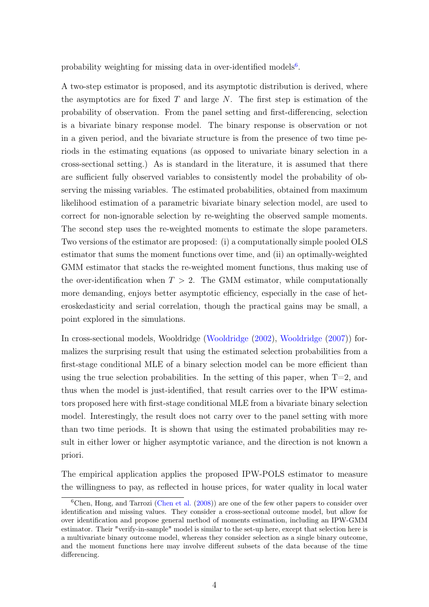probability weighting for missing data in over-identified models<sup>[6](#page-3-0)</sup>.

A two-step estimator is proposed, and its asymptotic distribution is derived, where the asymptotics are for fixed  $T$  and large  $N$ . The first step is estimation of the probability of observation. From the panel setting and first-differencing, selection is a bivariate binary response model. The binary response is observation or not in a given period, and the bivariate structure is from the presence of two time periods in the estimating equations (as opposed to univariate binary selection in a cross-sectional setting.) As is standard in the literature, it is assumed that there are sufficient fully observed variables to consistently model the probability of observing the missing variables. The estimated probabilities, obtained from maximum likelihood estimation of a parametric bivariate binary selection model, are used to correct for non-ignorable selection by re-weighting the observed sample moments. The second step uses the re-weighted moments to estimate the slope parameters. Two versions of the estimator are proposed: (i) a computationally simple pooled OLS estimator that sums the moment functions over time, and (ii) an optimally-weighted GMM estimator that stacks the re-weighted moment functions, thus making use of the over-identification when  $T > 2$ . The GMM estimator, while computationally more demanding, enjoys better asymptotic efficiency, especially in the case of heteroskedasticity and serial correlation, though the practical gains may be small, a point explored in the simulations.

In cross-sectional models, Wooldridge [\(Wooldridge](#page-47-4) [\(2002\)](#page-47-4), [Wooldridge](#page-47-3) [\(2007\)](#page-47-3)) formalizes the surprising result that using the estimated selection probabilities from a first-stage conditional MLE of a binary selection model can be more efficient than using the true selection probabilities. In the setting of this paper, when  $T=2$ , and thus when the model is just-identified, that result carries over to the IPW estimators proposed here with first-stage conditional MLE from a bivariate binary selection model. Interestingly, the result does not carry over to the panel setting with more than two time periods. It is shown that using the estimated probabilities may result in either lower or higher asymptotic variance, and the direction is not known a priori.

The empirical application applies the proposed IPW-POLS estimator to measure the willingness to pay, as reflected in house prices, for water quality in local water

<span id="page-3-0"></span><sup>&</sup>lt;sup>6</sup>Chen, Hong, and Tarrozi [\(Chen et al.](#page-45-3) [\(2008\)](#page-45-3)) are one of the few other papers to consider over identification and missing values. They consider a cross-sectional outcome model, but allow for over identification and propose general method of moments estimation, including an IPW-GMM estimator. Their "verify-in-sample" model is similar to the set-up here, except that selection here is a multivariate binary outcome model, whereas they consider selection as a single binary outcome, and the moment functions here may involve different subsets of the data because of the time differencing.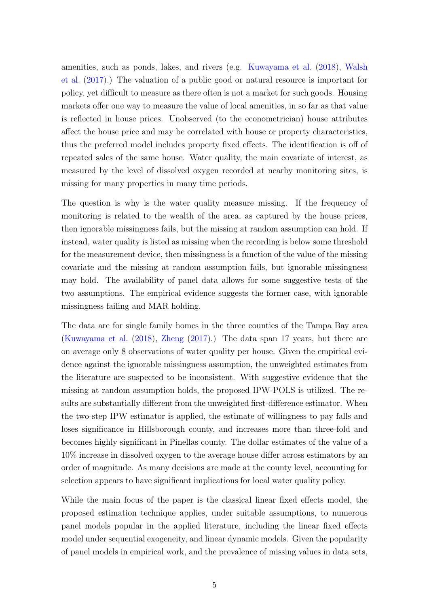amenities, such as ponds, lakes, and rivers (e.g. [Kuwayama et al.](#page-45-0) [\(2018\)](#page-45-0), [Walsh](#page-47-5) [et al.](#page-47-5) [\(2017\)](#page-47-5).) The valuation of a public good or natural resource is important for policy, yet difficult to measure as there often is not a market for such goods. Housing markets offer one way to measure the value of local amenities, in so far as that value is reflected in house prices. Unobserved (to the econometrician) house attributes affect the house price and may be correlated with house or property characteristics, thus the preferred model includes property fixed effects. The identification is off of repeated sales of the same house. Water quality, the main covariate of interest, as measured by the level of dissolved oxygen recorded at nearby monitoring sites, is missing for many properties in many time periods.

The question is why is the water quality measure missing. If the frequency of monitoring is related to the wealth of the area, as captured by the house prices, then ignorable missingness fails, but the missing at random assumption can hold. If instead, water quality is listed as missing when the recording is below some threshold for the measurement device, then missingness is a function of the value of the missing covariate and the missing at random assumption fails, but ignorable missingness may hold. The availability of panel data allows for some suggestive tests of the two assumptions. The empirical evidence suggests the former case, with ignorable missingness failing and MAR holding.

The data are for single family homes in the three counties of the Tampa Bay area [\(Kuwayama et al.](#page-45-0) [\(2018\)](#page-45-0), [Zheng](#page-47-6) [\(2017\)](#page-47-6).) The data span 17 years, but there are on average only 8 observations of water quality per house. Given the empirical evidence against the ignorable missingness assumption, the unweighted estimates from the literature are suspected to be inconsistent. With suggestive evidence that the missing at random assumption holds, the proposed IPW-POLS is utilized. The results are substantially different from the unweighted first-difference estimator. When the two-step IPW estimator is applied, the estimate of willingness to pay falls and loses significance in Hillsborough county, and increases more than three-fold and becomes highly significant in Pinellas county. The dollar estimates of the value of a 10% increase in dissolved oxygen to the average house differ across estimators by an order of magnitude. As many decisions are made at the county level, accounting for selection appears to have significant implications for local water quality policy.

While the main focus of the paper is the classical linear fixed effects model, the proposed estimation technique applies, under suitable assumptions, to numerous panel models popular in the applied literature, including the linear fixed effects model under sequential exogeneity, and linear dynamic models. Given the popularity of panel models in empirical work, and the prevalence of missing values in data sets,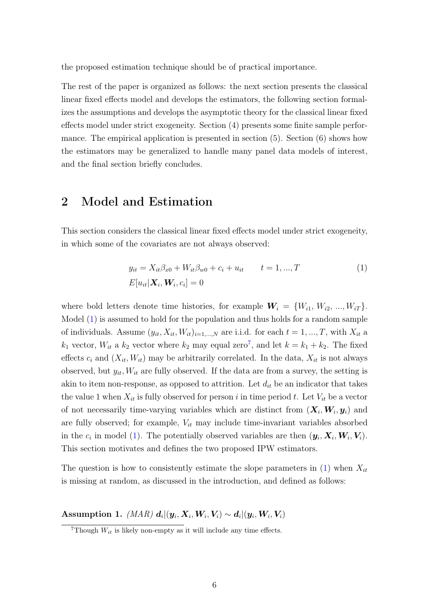the proposed estimation technique should be of practical importance.

The rest of the paper is organized as follows: the next section presents the classical linear fixed effects model and develops the estimators, the following section formalizes the assumptions and develops the asymptotic theory for the classical linear fixed effects model under strict exogeneity. Section (4) presents some finite sample performance. The empirical application is presented in section (5). Section (6) shows how the estimators may be generalized to handle many panel data models of interest, and the final section briefly concludes.

# 2 Model and Estimation

This section considers the classical linear fixed effects model under strict exogeneity, in which some of the covariates are not always observed:

<span id="page-5-0"></span>
$$
y_{it} = X_{it}\beta_{x0} + W_{it}\beta_{w0} + c_i + u_{it} \t t = 1, ..., T
$$
  
\n
$$
E[u_{it}|\mathbf{X}_i, \mathbf{W}_i, c_i] = 0
$$
\n(1)

where bold letters denote time histories, for example  $W_i = \{W_{i1}, W_{i2}, ..., W_{iT}\}.$ Model [\(1\)](#page-5-0) is assumed to hold for the population and thus holds for a random sample of individuals. Assume  $(y_{it}, X_{it}, W_{it})_{i=1,\dots,N}$  are i.i.d. for each  $t = 1, \dots, T$ , with  $X_{it}$  a  $k_1$  vector,  $W_{it}$  a  $k_2$  vector where  $k_2$  may equal zero<sup>[7](#page-5-1)</sup>, and let  $k = k_1 + k_2$ . The fixed effects  $c_i$  and  $(X_{it}, W_{it})$  may be arbitrarily correlated. In the data,  $X_{it}$  is not always observed, but  $y_{it}$ ,  $W_{it}$  are fully observed. If the data are from a survey, the setting is akin to item non-response, as opposed to attrition. Let  $d_{it}$  be an indicator that takes the value 1 when  $X_{it}$  is fully observed for person i in time period t. Let  $V_{it}$  be a vector of not necessarily time-varying variables which are distinct from  $(X_i, W_i, y_i)$  and are fully observed; for example,  $V_{it}$  may include time-invariant variables absorbed in the  $c_i$  in model [\(1\)](#page-5-0). The potentially observed variables are then  $(\mathbf{y}_i, \mathbf{X}_i, \mathbf{W}_i, \mathbf{V}_i)$ . This section motivates and defines the two proposed IPW estimators.

The question is how to consistently estimate the slope parameters in  $(1)$  when  $X_{it}$ is missing at random, as discussed in the introduction, and defined as follows:

<span id="page-5-2"></span> $\text{Assumption 1.}~~ (MAR)~ \bm{d}_{i}|(\bm{y}_{i},\bm{X}_{i},\bm{W}_{i},\bm{V}_{i}) \sim \bm{d}_{i}|(\bm{y}_{i},\bm{W}_{i},\bm{V}_{i})$ 

<span id="page-5-1"></span><sup>&</sup>lt;sup>7</sup>Though  $W_{it}$  is likely non-empty as it will include any time effects.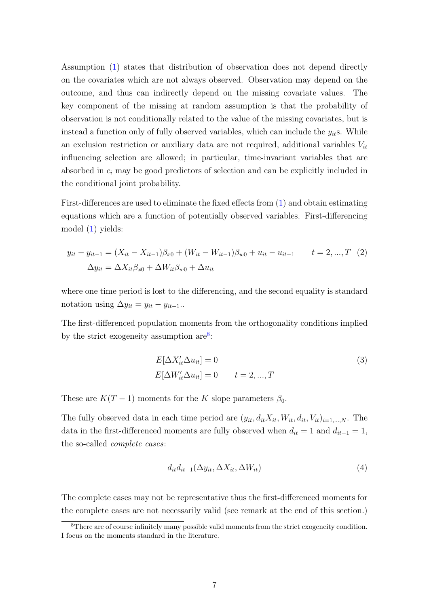Assumption [\(1\)](#page-5-2) states that distribution of observation does not depend directly on the covariates which are not always observed. Observation may depend on the outcome, and thus can indirectly depend on the missing covariate values. The key component of the missing at random assumption is that the probability of observation is not conditionally related to the value of the missing covariates, but is instead a function only of fully observed variables, which can include the  $y_{it}$ s. While an exclusion restriction or auxiliary data are not required, additional variables  $V_{it}$ influencing selection are allowed; in particular, time-invariant variables that are absorbed in  $c_i$  may be good predictors of selection and can be explicitly included in the conditional joint probability.

First-differences are used to eliminate the fixed effects from [\(1\)](#page-5-0) and obtain estimating equations which are a function of potentially observed variables. First-differencing model [\(1\)](#page-5-0) yields:

$$
y_{it} - y_{it-1} = (X_{it} - X_{it-1})\beta_{x0} + (W_{it} - W_{it-1})\beta_{w0} + u_{it} - u_{it-1} \qquad t = 2, ..., T \quad (2)
$$

$$
\Delta y_{it} = \Delta X_{it}\beta_{x0} + \Delta W_{it}\beta_{w0} + \Delta u_{it}
$$

where one time period is lost to the differencing, and the second equality is standard notation using  $\Delta y_{it} = y_{it} - y_{it-1}$ .

The first-differenced population moments from the orthogonality conditions implied by the strict exogeneity assumption  $are^8$  $are^8$ :

<span id="page-6-1"></span>
$$
E[\Delta X'_{it}\Delta u_{it}] = 0
$$
  
\n
$$
E[\Delta W'_{it}\Delta u_{it}] = 0 \qquad t = 2, ..., T
$$
\n(3)

These are  $K(T-1)$  moments for the K slope parameters  $\beta_0$ .

The fully observed data in each time period are  $(y_{it}, d_{it}X_{it}, W_{it}, d_{it}, V_{it})_{i=1,\dots,N}$ . The data in the first-differenced moments are fully observed when  $d_{it} = 1$  and  $d_{it-1} = 1$ , the so-called complete cases:

$$
d_{it}d_{it-1}(\Delta y_{it}, \Delta X_{it}, \Delta W_{it})
$$
\n
$$
\tag{4}
$$

The complete cases may not be representative thus the first-differenced moments for the complete cases are not necessarily valid (see remark at the end of this section.)

<span id="page-6-0"></span><sup>&</sup>lt;sup>8</sup>There are of course infinitely many possible valid moments from the strict exogeneity condition. I focus on the moments standard in the literature.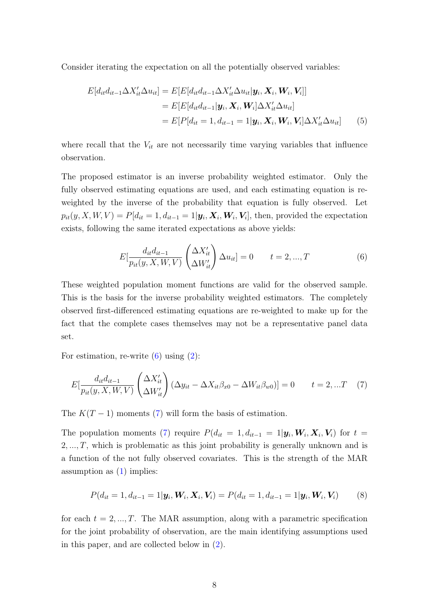Consider iterating the expectation on all the potentially observed variables:

$$
E[d_{it}d_{it-1}\Delta X'_{it}\Delta u_{it}] = E[E[d_{it}d_{it-1}\Delta X'_{it}\Delta u_{it}|\mathbf{y}_{i}, \mathbf{X}_{i}, \mathbf{W}_{i}, \mathbf{V}_{i}]]
$$
  
\n
$$
= E[E[d_{it}d_{it-1}|\mathbf{y}_{i}, \mathbf{X}_{i}, \mathbf{W}_{i}]\Delta X'_{it}\Delta u_{it}]
$$
  
\n
$$
= E[P[d_{it} = 1, d_{it-1} = 1|\mathbf{y}_{i}, \mathbf{X}_{i}, \mathbf{W}_{i}, \mathbf{V}_{i}]\Delta X'_{it}\Delta u_{it}]
$$
 (5)

where recall that the  $V_{it}$  are not necessarily time varying variables that influence observation.

The proposed estimator is an inverse probability weighted estimator. Only the fully observed estimating equations are used, and each estimating equation is reweighted by the inverse of the probability that equation is fully observed. Let  $p_{it}(y, X, W, V) = P[d_{it} = 1, d_{it-1} = 1 | \boldsymbol{y}_i, \boldsymbol{X}_i, \boldsymbol{W}_i, \boldsymbol{V}_i],$  then, provided the expectation exists, following the same iterated expectations as above yields:

<span id="page-7-1"></span><span id="page-7-0"></span>
$$
E[\frac{d_{it}d_{it-1}}{p_{it}(y, X, W, V)} \left(\Delta X'_{it}\right) \Delta u_{it}] = 0 \t t = 2, ..., T \t (6)
$$

These weighted population moment functions are valid for the observed sample. This is the basis for the inverse probability weighted estimators. The completely observed first-differenced estimating equations are re-weighted to make up for the fact that the complete cases themselves may not be a representative panel data set.

For estimation, re-write  $(6)$  using  $(2)$ :

$$
E\left[\frac{d_{it}d_{it-1}}{p_{it}(y,X,W,V)}\left(\Delta X'_{it}\right)(\Delta y_{it} - \Delta X_{it}\beta_{x0} - \Delta W_{it}\beta_{w0})\right] = 0 \qquad t = 2,...T \quad (7)
$$

The  $K(T-1)$  moments [\(7\)](#page-7-1) will form the basis of estimation.

The population moments [\(7\)](#page-7-1) require  $P(d_{it} = 1, d_{it-1} = 1 | \mathbf{y}_i, \mathbf{W}_i, \mathbf{X}_i, \mathbf{V}_i)$  for  $t =$  $2, \ldots, T$ , which is problematic as this joint probability is generally unknown and is a function of the not fully observed covariates. This is the strength of the MAR assumption as  $(1)$  implies:

$$
P(d_{it} = 1, d_{it-1} = 1 | \mathbf{y}_i, \mathbf{W}_i, \mathbf{X}_i, \mathbf{V}_i) = P(d_{it} = 1, d_{it-1} = 1 | \mathbf{y}_i, \mathbf{W}_i, \mathbf{V}_i)
$$
(8)

for each  $t = 2, ..., T$ . The MAR assumption, along with a parametric specification for the joint probability of observation, are the main identifying assumptions used in this paper, and are collected below in [\(2\)](#page-8-0).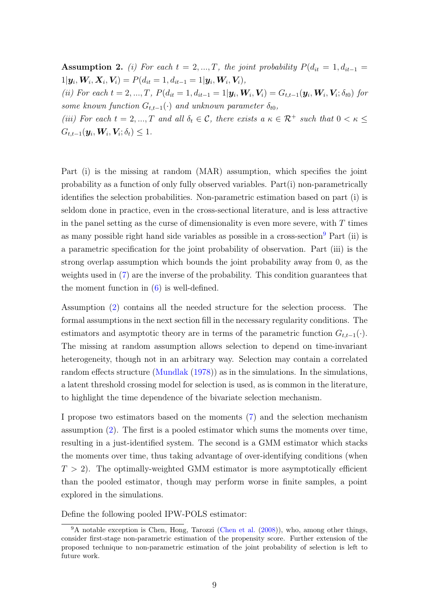<span id="page-8-0"></span>Assumption 2. (i) For each  $t = 2, ..., T$ , the joint probability  $P(d_{it} = 1, d_{it-1})$  $1|\bm{y}_i, \bm{W}_i, \bm{X}_i, \bm{V}_i) = P(d_{it} = 1, d_{it-1} = 1|\bm{y}_i, \bm{W}_i, \bm{V}_i),$ 

(ii) For each  $t = 2, ..., T$ ,  $P(d_{it} = 1, d_{it-1} = 1 | \mathbf{y}_i, \mathbf{W}_i, \mathbf{V}_i) = G_{t,t-1}(\mathbf{y}_i, \mathbf{W}_i, \mathbf{V}_i; \delta_{t0})$  for some known function  $G_{t,t-1}(\cdot)$  and unknown parameter  $\delta_{t0}$ ,

(iii) For each  $t = 2, ..., T$  and all  $\delta_t \in \mathcal{C}$ , there exists  $a \kappa \in \mathcal{R}^+$  such that  $0 < \kappa \leq$  $G_{t,t-1}(\boldsymbol{y}_i, \boldsymbol{W}_i, \boldsymbol{V}_i; \delta_t) \leq 1.$ 

Part (i) is the missing at random (MAR) assumption, which specifies the joint probability as a function of only fully observed variables. Part(i) non-parametrically identifies the selection probabilities. Non-parametric estimation based on part (i) is seldom done in practice, even in the cross-sectional literature, and is less attractive in the panel setting as the curse of dimensionality is even more severe, with  $T$  times as many possible right hand side variables as possible in a cross-section<sup>[9](#page-8-1)</sup> Part (ii) is a parametric specification for the joint probability of observation. Part (iii) is the strong overlap assumption which bounds the joint probability away from 0, as the weights used in [\(7\)](#page-7-1) are the inverse of the probability. This condition guarantees that the moment function in  $(6)$  is well-defined.

Assumption [\(2\)](#page-8-0) contains all the needed structure for the selection process. The formal assumptions in the next section fill in the necessary regularity conditions. The estimators and asymptotic theory are in terms of the parametric function  $G_{t,t-1}(\cdot)$ . The missing at random assumption allows selection to depend on time-invariant heterogeneity, though not in an arbitrary way. Selection may contain a correlated random effects structure [\(Mundlak](#page-46-5) [\(1978\)](#page-46-5)) as in the simulations. In the simulations, a latent threshold crossing model for selection is used, as is common in the literature, to highlight the time dependence of the bivariate selection mechanism.

I propose two estimators based on the moments [\(7\)](#page-7-1) and the selection mechanism assumption [\(2\)](#page-8-0). The first is a pooled estimator which sums the moments over time, resulting in a just-identified system. The second is a GMM estimator which stacks the moments over time, thus taking advantage of over-identifying conditions (when  $T > 2$ ). The optimally-weighted GMM estimator is more asymptotically efficient than the pooled estimator, though may perform worse in finite samples, a point explored in the simulations.

Define the following pooled IPW-POLS estimator:

<span id="page-8-1"></span><sup>&</sup>lt;sup>9</sup>A notable exception is Chen, Hong, Tarozzi [\(Chen et al.](#page-45-3) [\(2008\)](#page-45-3)), who, among other things, consider first-stage non-parametric estimation of the propensity score. Further extension of the proposed technique to non-parametric estimation of the joint probability of selection is left to future work.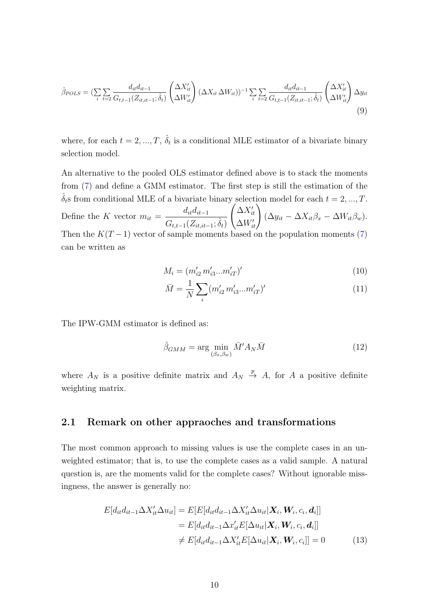$$
\hat{\beta}_{POLS} = (\sum_{i} \sum_{t=2} \frac{d_{it} d_{it-1}}{G_{t,t-1}(Z_{it,it-1}; \hat{\delta}_t)} \left(\Delta X'_{it}\right) (\Delta X_{it} \Delta W_{it}))^{-1} \sum_{i} \sum_{t=2} \frac{d_{it} d_{it-1}}{G_{t,t-1}(Z_{it,it-1}; \hat{\delta}_t)} \left(\Delta X'_{it}\right) \Delta y_{it}
$$
\n(9)

where, for each  $t = 2, ..., T, \hat{\delta}_t$  is a conditional MLE estimator of a bivariate binary selection model.

An alternative to the pooled OLS estimator defined above is to stack the moments from [\(7\)](#page-7-1) and define a GMM estimator. The first step is still the estimation of the  $\delta_t$ s from conditional MLE of a bivariate binary selection model for each  $t = 2, ..., T$ . Define the K vector  $m_{it} =$  $d_{it}d_{it-1}$  $G_{t,t-1}(Z_{it,it-1};\hat{\delta}_t)$  $\int \Delta X'_{it}$  $\Delta X'_{it}$ <br> $\Delta W'_{it}$  $(\Delta y_{it} - \Delta X_{it} \beta_x - \Delta W_{it} \beta_w).$ Then the  $K(T-1)$  vector of sample moments based on the population moments [\(7\)](#page-7-1) can be written as

$$
M_i = (m'_{i2} m'_{i3} ... m'_{iT})'
$$
\n(10)

$$
\bar{M} = \frac{1}{N} \sum_{i} (m'_{i2} m'_{i3} ... m'_{iT})'
$$
\n(11)

The IPW-GMM estimator is defined as:

<span id="page-9-0"></span>
$$
\hat{\beta}_{GMM} = \arg\min_{(\beta_x, \beta_w)} \bar{M}' A_N \bar{M} \tag{12}
$$

where  $A_N$  is a positive definite matrix and  $A_N \stackrel{p}{\rightarrow} A$ , for A a positive definite weighting matrix.

## 2.1 Remark on other appraoches and transformations

The most common approach to missing values is use the complete cases in an unweighted estimator; that is, to use the complete cases as a valid sample. A natural question is, are the moments valid for the complete cases? Without ignorable missingness, the answer is generally no:

$$
E[d_{it}d_{it-1}\Delta X'_{it}\Delta u_{it}] = E[E[d_{it}d_{it-1}\Delta X'_{it}\Delta u_{it}|\mathbf{X}_{i}, \mathbf{W}_{i}, c_{i}, \mathbf{d}_{i}]]
$$
  
\n
$$
= E[d_{it}d_{it-1}\Delta x'_{it}E[\Delta u_{it}|\mathbf{X}_{i}, \mathbf{W}_{i}, c_{i}, \mathbf{d}_{i}]]
$$
  
\n
$$
\neq E[d_{it}d_{it-1}\Delta X'_{it}E[\Delta u_{it}|\mathbf{X}_{i}, \mathbf{W}_{i}, c_{i}]] = 0
$$
 (13)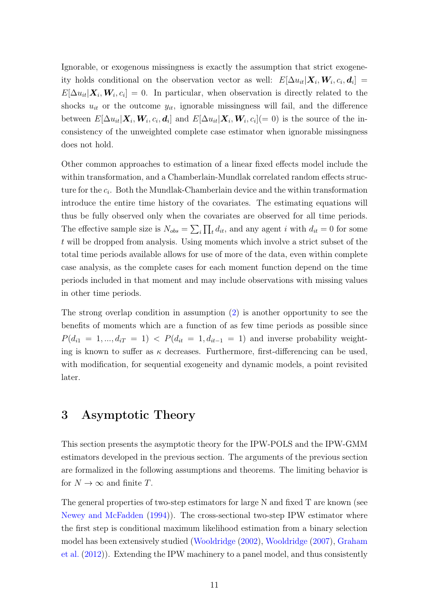Ignorable, or exogenous missingness is exactly the assumption that strict exogeneity holds conditional on the observation vector as well:  $E[\Delta u_{it}|\boldsymbol{X}_i, \boldsymbol{W}_i, c_i, \boldsymbol{d}_i] =$  $E[\Delta u_{it}|\bm{X}_i,\bm{W}_i,c_i]=0.$  In particular, when observation is directly related to the shocks  $u_{it}$  or the outcome  $y_{it}$ , ignorable missingness will fail, and the difference between  $E[\Delta u_{it}|\bm{X}_i, \bm{W}_i, c_i, \bm{d}_i]$  and  $E[\Delta u_{it}|\bm{X}_i, \bm{W}_i, c_i] (= 0)$  is the source of the inconsistency of the unweighted complete case estimator when ignorable missingness does not hold.

Other common approaches to estimation of a linear fixed effects model include the within transformation, and a Chamberlain-Mundlak correlated random effects structure for the  $c_i$ . Both the Mundlak-Chamberlain device and the within transformation introduce the entire time history of the covariates. The estimating equations will thus be fully observed only when the covariates are observed for all time periods. The effective sample size is  $N_{obs} = \sum_i \prod_t d_{it}$ , and any agent i with  $d_{it} = 0$  for some t will be dropped from analysis. Using moments which involve a strict subset of the total time periods available allows for use of more of the data, even within complete case analysis, as the complete cases for each moment function depend on the time periods included in that moment and may include observations with missing values in other time periods.

The strong overlap condition in assumption [\(2\)](#page-8-0) is another opportunity to see the benefits of moments which are a function of as few time periods as possible since  $P(d_{i1} = 1, ..., d_{iT} = 1) < P(d_{it} = 1, d_{it-1} = 1)$  and inverse probability weighting is known to suffer as  $\kappa$  decreases. Furthermore, first-differencing can be used, with modification, for sequential exogeneity and dynamic models, a point revisited later.

# 3 Asymptotic Theory

This section presents the asymptotic theory for the IPW-POLS and the IPW-GMM estimators developed in the previous section. The arguments of the previous section are formalized in the following assumptions and theorems. The limiting behavior is for  $N \to \infty$  and finite T.

The general properties of two-step estimators for large N and fixed T are known (see [Newey and McFadden](#page-46-6) [\(1994\)](#page-46-6)). The cross-sectional two-step IPW estimator where the first step is conditional maximum likelihood estimation from a binary selection model has been extensively studied [\(Wooldridge](#page-47-4) [\(2002\)](#page-47-4), [Wooldridge](#page-47-3) [\(2007\)](#page-47-3), [Graham](#page-45-4) [et al.](#page-45-4) [\(2012\)](#page-45-4)). Extending the IPW machinery to a panel model, and thus consistently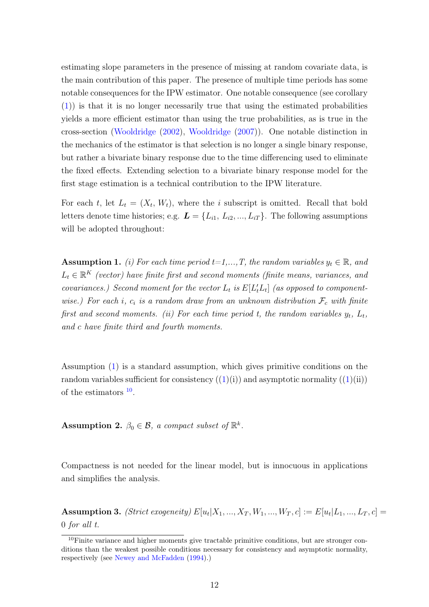estimating slope parameters in the presence of missing at random covariate data, is the main contribution of this paper. The presence of multiple time periods has some notable consequences for the IPW estimator. One notable consequence (see corollary [\(1\)](#page-16-0)) is that it is no longer necessarily true that using the estimated probabilities yields a more efficient estimator than using the true probabilities, as is true in the cross-section [\(Wooldridge](#page-47-4) [\(2002\)](#page-47-4), [Wooldridge](#page-47-3) [\(2007\)](#page-47-3)). One notable distinction in the mechanics of the estimator is that selection is no longer a single binary response, but rather a bivariate binary response due to the time differencing used to eliminate the fixed effects. Extending selection to a bivariate binary response model for the first stage estimation is a technical contribution to the IPW literature.

For each t, let  $L_t = (X_t, W_t)$ , where the i subscript is omitted. Recall that bold letters denote time histories; e.g.  $\boldsymbol{L} = \{L_{i1}, L_{i2}, ..., L_{iT}\}\.$  The following assumptions will be adopted throughout:

<span id="page-11-0"></span>**Assumption 1.** (i) For each time period  $t=1,...,T$ , the random variables  $y_t \in \mathbb{R}$ , and  $L_t \in \mathbb{R}^K$  (vector) have finite first and second moments (finite means, variances, and covariances.) Second moment for the vector  $L_t$  is  $E[L_t'L_t]$  (as opposed to componentwise.) For each i,  $c_i$  is a random draw from an unknown distribution  $\mathcal{F}_c$  with finite first and second moments. (ii) For each time period t, the random variables  $y_t$ ,  $L_t$ , and c have finite third and fourth moments.

Assumption [\(1\)](#page-11-0) is a standard assumption, which gives primitive conditions on the random variables sufficient for consistency  $((1)(i))$  $((1)(i))$  $((1)(i))$  and asymptotic normality  $((1)(ii))$ of the estimators  $10$ .

<span id="page-11-2"></span>Assumption 2.  $\beta_0 \in \mathcal{B}$ , a compact subset of  $\mathbb{R}^k$ .

Compactness is not needed for the linear model, but is innocuous in applications and simplifies the analysis.

<span id="page-11-3"></span>**Assumption 3.** (Strict exogeneity)  $E[u_t|X_1, ..., X_T, W_1, ..., W_T, c] := E[u_t|L_1, ..., L_T, c] =$ 0 for all t.

<span id="page-11-1"></span> $10$ Finite variance and higher moments give tractable primitive conditions, but are stronger conditions than the weakest possible conditions necessary for consistency and asymptotic normality, respectively (see [Newey and McFadden](#page-46-6) [\(1994\)](#page-46-6).)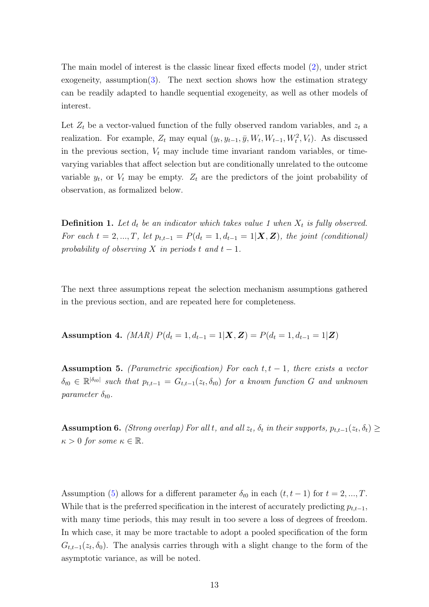The main model of interest is the classic linear fixed effects model [\(2\)](#page-11-2), under strict exogeneity, assumption[\(3\)](#page-11-3). The next section shows how the estimation strategy can be readily adapted to handle sequential exogeneity, as well as other models of interest.

Let  $Z_t$  be a vector-valued function of the fully observed random variables, and  $z_t$  a realization. For example,  $Z_t$  may equal  $(y_t, y_{t-1}, \bar{y}, W_t, W_{t-1}, W_t^2, V_t)$ . As discussed in the previous section,  $V_t$  may include time invariant random variables, or timevarying variables that affect selection but are conditionally unrelated to the outcome variable  $y_t$ , or  $V_t$  may be empty.  $Z_t$  are the predictors of the joint probability of observation, as formalized below.

**Definition 1.** Let  $d_t$  be an indicator which takes value 1 when  $X_t$  is fully observed. For each  $t = 2, ..., T$ , let  $p_{t,t-1} = P(d_t = 1, d_{t-1} = 1 | \mathbf{X}, \mathbf{Z})$ , the joint (conditional) probability of observing X in periods t and  $t-1$ .

The next three assumptions repeat the selection mechanism assumptions gathered in the previous section, and are repeated here for completeness.

<span id="page-12-1"></span>Assumption 4. (MAR)  $P(d_t = 1, d_{t-1} = 1 | \mathbf{X}, \mathbf{Z}) = P(d_t = 1, d_{t-1} = 1 | \mathbf{Z})$ 

<span id="page-12-0"></span>**Assumption 5.** (Parametric specification) For each  $t, t - 1$ , there exists a vector  $\delta_{t0} \in \mathbb{R}^{|\delta_{t0}|}$  such that  $p_{t,t-1} = G_{t,t-1}(z_t, \delta_{t0})$  for a known function G and unknown parameter  $\delta_{t0}$ .

<span id="page-12-2"></span>**Assumption 6.** (Strong overlap) For all t, and all  $z_t$ ,  $\delta_t$  in their supports,  $p_{t,t-1}(z_t, \delta_t) \geq$  $\kappa > 0$  for some  $\kappa \in \mathbb{R}$ .

Assumption [\(5\)](#page-12-0) allows for a different parameter  $\delta_{t0}$  in each  $(t, t-1)$  for  $t = 2, ..., T$ . While that is the preferred specification in the interest of accurately predicting  $p_{t,t-1}$ , with many time periods, this may result in too severe a loss of degrees of freedom. In which case, it may be more tractable to adopt a pooled specification of the form  $G_{t,t-1}(z_t,\delta_0)$ . The analysis carries through with a slight change to the form of the asymptotic variance, as will be noted.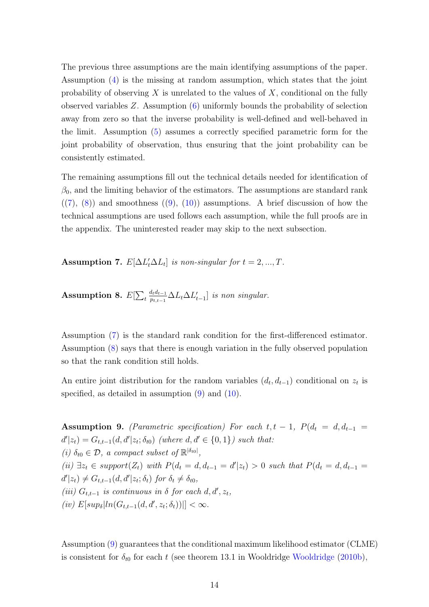The previous three assumptions are the main identifying assumptions of the paper. Assumption [\(4\)](#page-12-1) is the missing at random assumption, which states that the joint probability of observing  $X$  is unrelated to the values of  $X$ , conditional on the fully observed variables Z. Assumption [\(6\)](#page-12-2) uniformly bounds the probability of selection away from zero so that the inverse probability is well-defined and well-behaved in the limit. Assumption [\(5\)](#page-12-0) assumes a correctly specified parametric form for the joint probability of observation, thus ensuring that the joint probability can be consistently estimated.

The remaining assumptions fill out the technical details needed for identification of  $\beta_0$ , and the limiting behavior of the estimators. The assumptions are standard rank  $((7), (8))$  $((7), (8))$  $((7), (8))$  $((7), (8))$  $((7), (8))$  and smoothness  $((9), (10))$  $((9), (10))$  $((9), (10))$  $((9), (10))$  $((9), (10))$  assumptions. A brief discussion of how the technical assumptions are used follows each assumption, while the full proofs are in the appendix. The uninterested reader may skip to the next subsection.

<span id="page-13-0"></span>Assumption 7.  $E[\Delta L'_t \Delta L_t]$  is non-singular for  $t = 2, ..., T$ .

<span id="page-13-1"></span>Assumption 8.  $E[\sum_t$  $d_t d_{t-1}$  $\frac{d_t d_{t-1}}{p_{t,t-1}} \Delta L_t \Delta L'_{t-1}]$  is non singular.

Assumption [\(7\)](#page-13-0) is the standard rank condition for the first-differenced estimator. Assumption [\(8\)](#page-13-1) says that there is enough variation in the fully observed population so that the rank condition still holds.

An entire joint distribution for the random variables  $(d_t, d_{t-1})$  conditional on  $z_t$  is specified, as detailed in assumption  $(9)$  and  $(10)$ .

<span id="page-13-2"></span>Assumption 9. (Parametric specification) For each  $t, t - 1$ ,  $P(d_t = d, d_{t-1})$  $d'|z_t) = G_{t,t-1}(d, d'|z_t; \delta_{t0})$  (where  $d, d' \in \{0, 1\}$ ) such that: (i)  $\delta_{t0} \in \mathcal{D}$ , a compact subset of  $\mathbb{R}^{|\delta_{t0}|}$ , (ii)  $\exists z_t \in support(Z_t)$  with  $P(d_t = d, d_{t-1} = d' | z_t) > 0$  such that  $P(d_t = d, d_{t-1} = d' | z_t)$  $d'|z_t \rangle \neq G_{t,t-1}(d,d'|z_t;\delta_t)$  for  $\delta_t \neq \delta_{t0}$ , (iii)  $G_{t,t-1}$  is continuous in  $\delta$  for each  $d, d', z_t$ ,  $(iv) E[sup_{\delta} | ln(G_{t,t-1}(d, d', z_t; \delta_t))|] < \infty.$ 

Assumption [\(9\)](#page-13-2) guarantees that the conditional maximum likelihood estimator (CLME) is consistent for  $\delta_{t0}$  for each t (see theorem 13.1 in [Wooldridge](#page-47-2) Wooldridge [\(2010b\)](#page-47-2),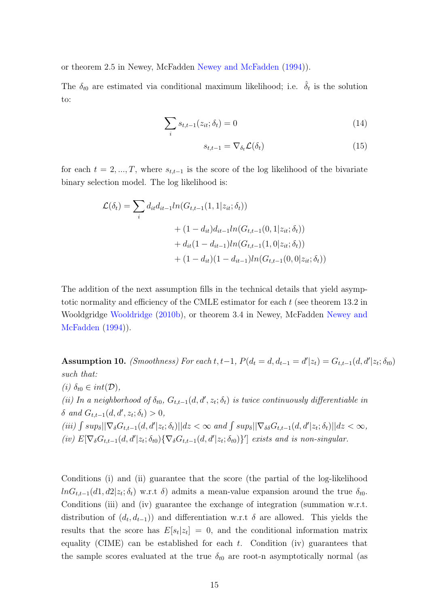or theorem 2.5 in Newey, McFadden [Newey and McFadden](#page-46-6) [\(1994\)](#page-46-6)).

The  $\delta_{t0}$  are estimated via conditional maximum likelihood; i.e.  $\hat{\delta}_t$  is the solution to:

$$
\sum_{i} s_{t,t-1}(z_{it}; \delta_t) = 0
$$
\n(14)

<span id="page-14-1"></span>
$$
s_{t,t-1} = \nabla_{\delta_t} \mathcal{L}(\delta_t) \tag{15}
$$

for each  $t = 2, ..., T$ , where  $s_{t,t-1}$  is the score of the log likelihood of the bivariate binary selection model. The log likelihood is:

$$
\mathcal{L}(\delta_t) = \sum_i d_{it} d_{it-1} ln(G_{t,t-1}(1, 1|z_{it}; \delta_t))
$$
  
+ 
$$
(1 - d_{it}) d_{it-1} ln(G_{t,t-1}(0, 1|z_{it}; \delta_t))
$$
  
+ 
$$
d_{it}(1 - d_{it-1}) ln(G_{t,t-1}(1, 0|z_{it}; \delta_t))
$$
  
+ 
$$
(1 - d_{it})(1 - d_{it-1}) ln(G_{t,t-1}(0, 0|z_{it}; \delta_t))
$$

The addition of the next assumption fills in the technical details that yield asymptotic normality and efficiency of the CMLE estimator for each t (see theorem 13.2 in Wooldgridge [Wooldridge](#page-47-2) [\(2010b\)](#page-47-2), or theorem 3.4 in Newey, McFadden [Newey and](#page-46-6) [McFadden](#page-46-6) [\(1994\)](#page-46-6)).

<span id="page-14-0"></span>Assumption 10. (Smoothness) For each t, t-1,  $P(d_t = d, d_{t-1} = d' | z_t) = G_{t,t-1}(d, d' | z_t; \delta_{t0})$ such that: (i)  $\delta_{t0} \in int(\mathcal{D}),$ (ii) In a neighborhood of  $\delta_{t0}$ ,  $G_{t,t-1}(d,d',z_t;\delta_t)$  is twice continuously differentiable in  $\delta$  and  $G_{t,t-1}(d, d', z_t; \delta_t) > 0$ , (iii)  $\int sup_{\delta} || \nabla_{\delta} G_{t,t-1}(d, d' | z_t; \delta_t) || dz < \infty$  and  $\int sup_{\delta} || \nabla_{\delta \delta} G_{t,t-1}(d, d' | z_t; \delta_t) || dz < \infty$ , (iv)  $E[\nabla_{\delta} G_{t,t-1}(d, d'|z_t; \delta_{t0}) \{\nabla_{\delta} G_{t,t-1}(d, d'|z_t; \delta_{t0})\}]$  exists and is non-singular.

Conditions (i) and (ii) guarantee that the score (the partial of the log-likelihood  $lnG_{t,t-1}(d_1, d_2|z_t; \delta_t)$  w.r.t  $\delta$ ) admits a mean-value expansion around the true  $\delta_{t0}$ . Conditions (iii) and (iv) guarantee the exchange of integration (summation w.r.t. distribution of  $(d_t, d_{t-1})$  and differentiation w.r.t  $\delta$  are allowed. This yields the results that the score has  $E[s_t|z_t] = 0$ , and the conditional information matrix equality (CIME) can be established for each  $t$ . Condition (iv) guarantees that the sample scores evaluated at the true  $\delta_{t0}$  are root-n asymptotically normal (as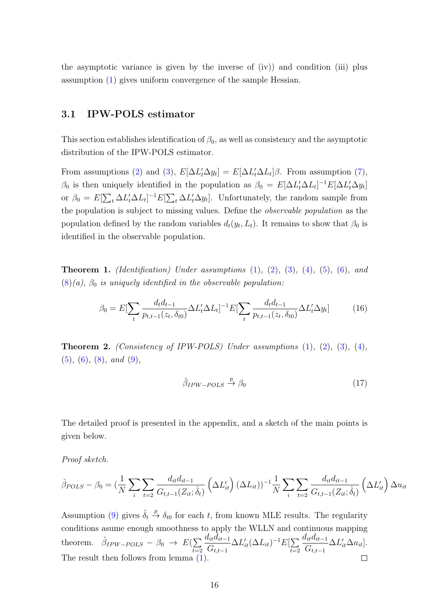the asymptotic variance is given by the inverse of (iv)) and condition (iii) plus assumption [\(1\)](#page-11-0) gives uniform convergence of the sample Hessian.

## 3.1 IPW-POLS estimator

This section establishes identification of  $\beta_0$ , as well as consistency and the asymptotic distribution of the IPW-POLS estimator.

From assumptions [\(2\)](#page-11-2) and [\(3\)](#page-11-3),  $E[\Delta L_t \Delta y_t] = E[\Delta L_t \Delta L_t] \beta$ . From assumption [\(7\)](#page-13-0),  $β_0$  is then uniquely identified in the population as  $β_0 = E[ΔL_t'ΔL_t]^{-1}E[ΔL_t'Δy_t]$ or  $\beta_0 = E[\sum_t \Delta L'_t \Delta L_t]^{-1} E[\sum_t \Delta L'_t \Delta y_t]$ . Unfortunately, the random sample from the population is subject to missing values. Define the observable population as the population defined by the random variables  $d_t(y_t, L_t)$ . It remains to show that  $\beta_0$  is identified in the observable population.

**Theorem 1.** *(Identification)* Under assumptions  $(1)$ ,  $(2)$ ,  $(3)$ ,  $(4)$ ,  $(5)$ ,  $(6)$ , and  $(8)(a)$  $(8)(a)$ ,  $\beta_0$  is uniquely identified in the observable population:

$$
\beta_0 = E[\sum_t \frac{d_t d_{t-1}}{p_{t,t-1}(z_t, \delta_{t0})} \Delta L'_t \Delta L_t]^{-1} E[\sum_t \frac{d_t d_{t-1}}{p_{t,t-1}(z_t, \delta_{t0})} \Delta L'_t \Delta y_t]
$$
(16)

**Theorem 2.** (Consistency of IPW-POLS) Under assumptions  $(1)$ ,  $(2)$ ,  $(3)$ ,  $(4)$ , [\(5\)](#page-12-0), [\(6\)](#page-12-2), [\(8\)](#page-13-1), and [\(9\)](#page-13-2),

$$
\hat{\beta}_{IPW-POLS} \xrightarrow{p} \beta_0 \tag{17}
$$

The detailed proof is presented in the appendix, and a sketch of the main points is given below.

Proof sketch.

$$
\hat{\beta}_{POLS} - \beta_0 = \left(\frac{1}{N} \sum_{i} \sum_{t=2} \frac{d_{it} d_{it-1}}{G_{t,t-1}(Z_{it}; \hat{\delta}_t)} \left(\Delta L'_{it}\right) (\Delta L_{it})\right)^{-1} \frac{1}{N} \sum_{i} \sum_{t=2} \frac{d_{it} d_{it-1}}{G_{t,t-1}(Z_{it}; \hat{\delta}_t)} \left(\Delta L'_{it}\right) \Delta u_{it}
$$

Assumption [\(9\)](#page-13-2) gives  $\hat{\delta}_t \stackrel{p}{\rightarrow} \delta_{t0}$  for each t, from known MLE results. The regularity conditions asume enough smoothness to apply the WLLN and continuous mapping  $d_{it}d_{it-1}$  $d_{it}d_{it-1}$ theorem.  $\hat{\beta}_{IPW-POLS} - \beta_0 \rightarrow E(\sum$  $\Delta L_{it}' (\Delta L_{it})^{-1} E[\sum$  $\Delta L_{it}^{\prime} \Delta u_{it}$ .  $G_{t,t-1}$  $G_{t,t-1}$  $t=2$  $t=2$ The result then follows from lemma [\(1\)](#page-53-0).  $\Box$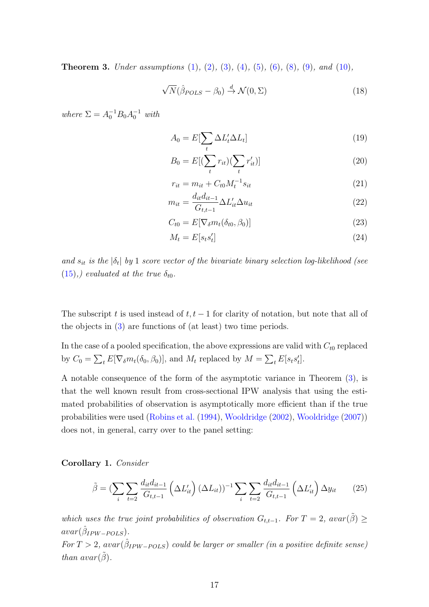<span id="page-16-1"></span>**Theorem 3.** Under assumptions  $(1)$ ,  $(2)$ ,  $(3)$ ,  $(4)$ ,  $(5)$ ,  $(6)$ ,  $(8)$ ,  $(9)$ , and  $(10)$ ,

$$
\sqrt{N}(\hat{\beta}_{POLS} - \beta_0) \stackrel{d}{\rightarrow} \mathcal{N}(0, \Sigma)
$$
 (18)

where  $\Sigma = A_0^{-1} B_0 A_0^{-1}$  with

$$
A_0 = E[\sum_t \Delta L'_t \Delta L_t]
$$
\n(19)

$$
B_0 = E\left[\left(\sum_t r_{it}\right)\left(\sum_t r'_{it}\right)\right] \tag{20}
$$

$$
r_{it} = m_{it} + C_{t0} M_t^{-1} s_{it}
$$
\n(21)

$$
m_{it} = \frac{d_{it}d_{it-1}}{G_{t,t-1}} \Delta L'_{it} \Delta u_{it}
$$
\n
$$
(22)
$$

$$
C_{t0} = E[\nabla_{\delta} m_t(\delta_{t0}, \beta_0)] \tag{23}
$$

$$
M_t = E[s_ts_t']\tag{24}
$$

and  $s_{it}$  is the  $|\delta_t|$  by 1 score vector of the bivariate binary selection log-likelihood (see  $(15)$ ,) evaluated at the true  $\delta_{t0}$ .

The subscript t is used instead of  $t, t - 1$  for clarity of notation, but note that all of the objects in [\(3\)](#page-16-1) are functions of (at least) two time periods.

In the case of a pooled specification, the above expressions are valid with  $C_{t0}$  replaced by  $C_0 = \sum_t E[\nabla_\delta m_t(\delta_0, \beta_0)],$  and  $M_t$  replaced by  $M = \sum_t E[s_ts_t']$ .

A notable consequence of the form of the asymptotic variance in Theorem [\(3\)](#page-16-1), is that the well known result from cross-sectional IPW analysis that using the estimated probabilities of observation is asymptotically more efficient than if the true probabilities were used [\(Robins et al.](#page-46-4) [\(1994\)](#page-46-4), [Wooldridge](#page-47-4) [\(2002\)](#page-47-4), [Wooldridge](#page-47-3) [\(2007\)](#page-47-3)) does not, in general, carry over to the panel setting:

<span id="page-16-0"></span>Corollary 1. Consider

$$
\tilde{\beta} = \left(\sum_{i} \sum_{t=2} \frac{d_{it} d_{it-1}}{G_{t,t-1}} \left(\Delta L'_{it}\right) (\Delta L_{it})\right)^{-1} \sum_{i} \sum_{t=2} \frac{d_{it} d_{it-1}}{G_{t,t-1}} \left(\Delta L'_{it}\right) \Delta y_{it} \tag{25}
$$

which uses the true joint probabilities of observation  $G_{t,t-1}$ . For  $T = 2$ ,  $avar(\tilde{\beta}) \geq$  $avar(\hat{\beta}_{IPW-POLS}).$ 

For  $T > 2$ ,  $avar(\hat{\beta}_{IPW-POLS})$  could be larger or smaller (in a positive definite sense) than  $avar(\tilde{\beta})$ .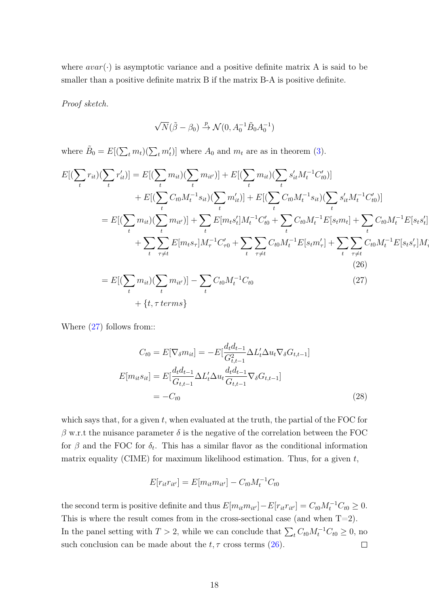where  $avar(\cdot)$  is asymptotic variance and a positive definite matrix A is said to be smaller than a positive definite matrix B if the matrix B-A is positive definite.

Proof sketch.

$$
\sqrt{N}(\tilde{\beta}-\beta_0) \xrightarrow{p} \mathcal{N}(0, A_0^{-1}\tilde{B}_0A_0^{-1})
$$

where  $\tilde{B}_0 = E[(\sum_t m_t)(\sum_t m'_t)]$  where  $A_0$  and  $m_t$  are as in theorem [\(3\)](#page-16-1).

$$
E[(\sum_{t} r_{it})(\sum_{t} r'_{it})] = E[(\sum_{t} m_{it})(\sum_{t} m_{it'})] + E[(\sum_{t} m_{it})(\sum_{t} s'_{it} M_t^{-1} C'_{t0})]
$$
  
+ 
$$
E[(\sum_{t} C_{t0} M_t^{-1} s_{it})(\sum_{t} m'_{it})] + E[(\sum_{t} C_{t0} M_t^{-1} s_{it})(\sum_{t} s'_{it} M_t^{-1} C'_{t0})]
$$
  
= 
$$
E[(\sum_{t} m_{it})(\sum_{t} m_{it'})] + \sum_{t} E[m_t s'_t] M_t^{-1} C'_{t0} + \sum_{t} C_{t0} M_t^{-1} E[s_t m_t] + \sum_{t} C_{t0} M_t^{-1} E[s_t s'_t]
$$
  
+ 
$$
\sum_{t} \sum_{\tau \neq t} E[m_t s_{\tau}] M_{\tau}^{-1} C'_{\tau 0} + \sum_{t} \sum_{\tau \neq t} C_{t0} M_t^{-1} E[s_t m'_{\tau}] + \sum_{t} \sum_{\tau \neq t} C_{t0} M_t^{-1} E[s_t s'_{\tau}] M_{\tau}
$$
  
(26)  
= 
$$
E[(\sum_{t} m_{it})(\sum_{t} m_{it'})] - \sum_{t} C_{t0} M_t^{-1} C_{t0}
$$
  
+ 
$$
\{t, \tau \text{ terms}\}
$$

 $\overline{\phantom{a}}$ 

<span id="page-17-2"></span><span id="page-17-1"></span><span id="page-17-0"></span>τ.<br>7

Where  $(27)$  follows from::

$$
C_{t0} = E[\nabla_{\delta} m_{it}] = -E[\frac{d_t d_{t-1}}{G_{t,t-1}^2} \Delta L_t' \Delta u_t \nabla_{\delta} G_{t,t-1}]
$$

$$
E[m_{it} s_{it}] = E[\frac{d_t d_{t-1}}{G_{t,t-1}} \Delta L_t' \Delta u_t \frac{d_t d_{t-1}}{G_{t,t-1}} \nabla_{\delta} G_{t,t-1}]
$$

$$
= -C_{t0} \tag{28}
$$

which says that, for a given  $t$ , when evaluated at the truth, the partial of the FOC for  $\beta$  w.r.t the nuisance parameter  $\delta$  is the negative of the correlation between the FOC for  $\beta$  and the FOC for  $\delta_t$ . This has a similar flavor as the conditional information matrix equality (CIME) for maximum likelihood estimation. Thus, for a given  $t$ ,

$$
E[r_{it}r_{it'}] = E[m_{it}m_{it'}] - C_{t0}M_t^{-1}C_{t0}
$$

the second term is positive definite and thus  $E[m_{it}m_{it'}]-E[r_{it}r_{it'}]=C_{t0}M_t^{-1}C_{t0}\geq 0$ . This is where the result comes from in the cross-sectional case (and when  $T=2$ ). In the panel setting with  $T > 2$ , while we can conclude that  $\sum_{t} C_{t0} M_t^{-1} C_{t0} \geq 0$ , no such conclusion can be made about the  $t, \tau$  cross terms [\(26\)](#page-17-1).  $\Box$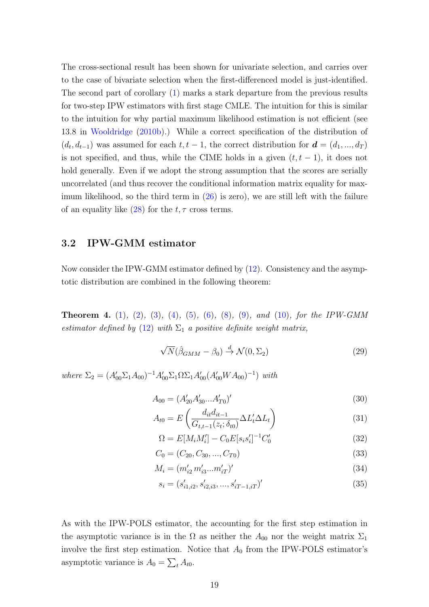The cross-sectional result has been shown for univariate selection, and carries over to the case of bivariate selection when the first-differenced model is just-identified. The second part of corollary [\(1\)](#page-16-0) marks a stark departure from the previous results for two-step IPW estimators with first stage CMLE. The intuition for this is similar to the intuition for why partial maximum likelihood estimation is not efficient (see 13.8 in [Wooldridge](#page-47-2) [\(2010b\)](#page-47-2).) While a correct specification of the distribution of  $(d_t, d_{t-1})$  was assumed for each  $t, t-1$ , the correct distribution for  $\mathbf{d} = (d_1, ..., d_T)$ is not specified, and thus, while the CIME holds in a given  $(t, t - 1)$ , it does not hold generally. Even if we adopt the strong assumption that the scores are serially uncorrelated (and thus recover the conditional information matrix equality for maximum likelihood, so the third term in  $(26)$  is zero), we are still left with the failure of an equality like  $(28)$  for the  $t, \tau$  cross terms.

## 3.2 IPW-GMM estimator

Now consider the IPW-GMM estimator defined by [\(12\)](#page-9-0). Consistency and the asymptotic distribution are combined in the following theorem:

**Theorem 4.** [\(1\)](#page-11-0), [\(2\)](#page-11-2), [\(3\)](#page-11-3), [\(4\)](#page-12-1), [\(5\)](#page-12-0), [\(6\)](#page-12-2), [\(8\)](#page-13-1), [\(9\)](#page-13-2), and [\(10\)](#page-14-0), for the IPW-GMM estimator defined by [\(12\)](#page-9-0) with  $\Sigma_1$  a positive definite weight matrix,

$$
\sqrt{N}(\hat{\beta}_{GMM} - \beta_0) \stackrel{d}{\rightarrow} \mathcal{N}(0, \Sigma_2)
$$
 (29)

where  $\Sigma_2 = (A'_{00} \Sigma_1 A_{00})^{-1} A'_{00} \Sigma_1 \Omega \Sigma_1 A'_{00} (A'_{00} WA_{00})^{-1})$  with

$$
A_{00} = (A'_{20}A'_{30}...A'_{T0})'
$$
\n(30)

$$
A_{t0} = E\left(\frac{d_{it}d_{it-1}}{G_{t,t-1}(z_t;\delta_{t0})}\Delta L'_t \Delta L_t\right)
$$
\n(31)

$$
\Omega = E[M_i M'_i] - C_0 E[s_i s'_i]^{-1} C'_0 \tag{32}
$$

$$
C_0 = (C_{20}, C_{30}, ..., C_{T0})
$$
\n(33)

$$
M_i = (m'_{i2} m'_{i3} ... m'_{iT})'
$$
\n(34)

$$
s_i = (s'_{i1,i2}, s'_{i2,i3}, \dots, s'_{iT-1,iT})'
$$
\n(35)

As with the IPW-POLS estimator, the accounting for the first step estimation in the asymptotic variance is in the  $\Omega$  as neither the  $A_{00}$  nor the weight matrix  $\Sigma_1$ involve the first step estimation. Notice that  $A_0$  from the IPW-POLS estimator's asymptotic variance is  $A_0 = \sum_t A_{t0}$ .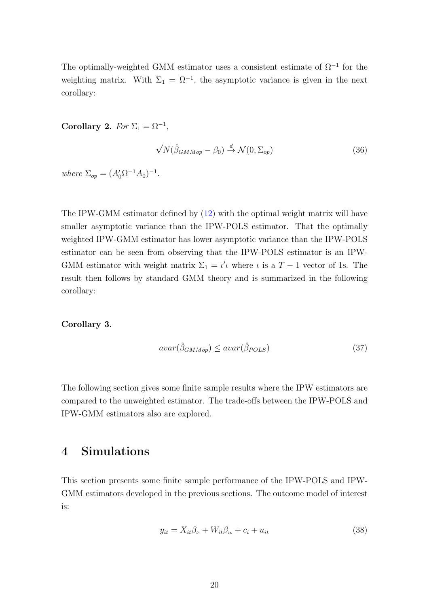The optimally-weighted GMM estimator uses a consistent estimate of  $\Omega^{-1}$  for the weighting matrix. With  $\Sigma_1 = \Omega^{-1}$ , the asymptotic variance is given in the next corollary:

Corollary 2. For  $\Sigma_1 = \Omega^{-1}$ ,

$$
\sqrt{N}(\hat{\beta}_{GMMop} - \beta_0) \stackrel{d}{\rightarrow} \mathcal{N}(0, \Sigma_{op})
$$
\n(36)

where  $\Sigma_{op} = (A_0' \Omega^{-1} A_0)^{-1}$ .

The IPW-GMM estimator defined by [\(12\)](#page-9-0) with the optimal weight matrix will have smaller asymptotic variance than the IPW-POLS estimator. That the optimally weighted IPW-GMM estimator has lower asymptotic variance than the IPW-POLS estimator can be seen from observing that the IPW-POLS estimator is an IPW-GMM estimator with weight matrix  $\Sigma_1 = \iota' \iota$  where  $\iota$  is a  $T - 1$  vector of 1s. The result then follows by standard GMM theory and is summarized in the following corollary:

#### Corollary 3.

$$
avar(\hat{\beta}_{GMMop}) \leq avar(\hat{\beta}_{POLS})\tag{37}
$$

The following section gives some finite sample results where the IPW estimators are compared to the unweighted estimator. The trade-offs between the IPW-POLS and IPW-GMM estimators also are explored.

# 4 Simulations

This section presents some finite sample performance of the IPW-POLS and IPW-GMM estimators developed in the previous sections. The outcome model of interest is:

$$
y_{it} = X_{it}\beta_x + W_{it}\beta_w + c_i + u_{it}
$$
\n
$$
(38)
$$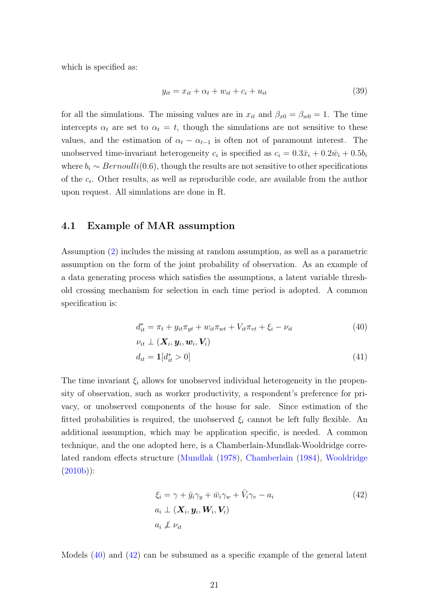which is specified as:

$$
y_{it} = x_{it} + \alpha_t + w_{it} + c_i + u_{it} \tag{39}
$$

for all the simulations. The missing values are in  $x_{it}$  and  $\beta_{x0} = \beta_{w0} = 1$ . The time intercepts  $\alpha_t$  are set to  $\alpha_t = t$ , though the simulations are not sensitive to these values, and the estimation of  $\alpha_t - \alpha_{t-1}$  is often not of paramount interest. The unobserved time-invariant heterogeneity  $c_i$  is specified as  $c_i = 0.3\bar{x}_i + 0.2\bar{w}_i + 0.5b_i$ where  $b_i \sim Bernoulli(0.6)$ , though the results are not sensitive to other specifications of the  $c_i$ . Other results, as well as reproducible code, are available from the author upon request. All simulations are done in R.

### 4.1 Example of MAR assumption

Assumption [\(2\)](#page-8-0) includes the missing at random assumption, as well as a parametric assumption on the form of the joint probability of observation. As an example of a data generating process which satisfies the assumptions, a latent variable threshold crossing mechanism for selection in each time period is adopted. A common specification is:

<span id="page-20-0"></span>
$$
d_{it}^* = \pi_t + y_{it}\pi_{yt} + w_{it}\pi_{wt} + V_{it}\pi_{vt} + \xi_i - \nu_{it}
$$
 (40)

$$
\nu_{it} \perp (\boldsymbol{X}_i, \boldsymbol{y}_i, \boldsymbol{w}_i, \boldsymbol{V}_i)
$$
  
\n
$$
d_{it} = \mathbf{1}[d_{it}^* > 0]
$$
\n(41)

The time invariant  $\xi_i$  allows for unobserved individual heterogeneity in the propensity of observation, such as worker productivity, a respondent's preference for privacy, or unobserved components of the house for sale. Since estimation of the fitted probabilities is required, the unobserved  $\xi_i$  cannot be left fully flexible. An additional assumption, which may be application specific, is needed. A common technique, and the one adopted here, is a Chamberlain-Mundlak-Wooldridge correlated random effects structure [\(Mundlak](#page-46-5) [\(1978\)](#page-46-5), [Chamberlain](#page-45-5) [\(1984\)](#page-45-5), [Wooldridge](#page-47-2)  $(2010b))$  $(2010b))$ :

<span id="page-20-1"></span>
$$
\xi_i = \gamma + \bar{y}_i \gamma_y + \bar{w}_i \gamma_w + \bar{V}_i \gamma_v - a_i
$$
\n
$$
a_i \perp (\mathbf{X}_i, \mathbf{y}_i, \mathbf{W}_i, \mathbf{V}_i)
$$
\n
$$
a_i \nleftrightarrow \nu_{it}
$$
\n(42)

Models [\(40\)](#page-20-0) and [\(42\)](#page-20-1) can be subsumed as a specific example of the general latent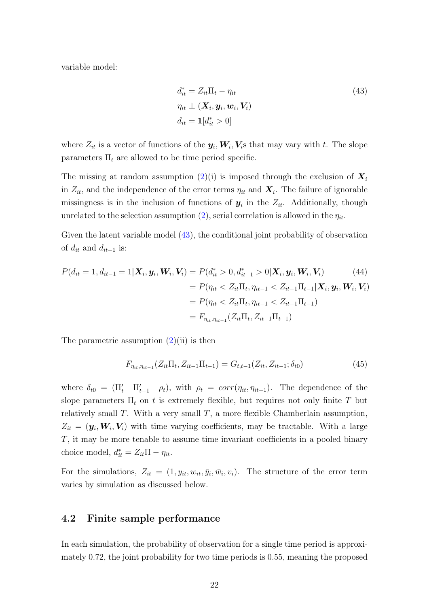variable model:

<span id="page-21-0"></span>
$$
d_{it}^* = Z_{it} \Pi_t - \eta_{it}
$$
  
\n
$$
\eta_{it} \perp (\boldsymbol{X}_i, \boldsymbol{y}_i, \boldsymbol{w}_i, \boldsymbol{V}_i)
$$
  
\n
$$
d_{it} = \mathbf{1}[d_{it}^* > 0]
$$
\n(43)

where  $Z_{it}$  is a vector of functions of the  $y_i, W_i, V_i$ s that may vary with t. The slope parameters  $\Pi_t$  are allowed to be time period specific.

The missing at random assumption [\(2\)](#page-8-0)(i) is imposed through the exclusion of  $X_i$ in  $Z_{it}$ , and the independence of the error terms  $\eta_{it}$  and  $\boldsymbol{X}_i$ . The failure of ignorable missingness is in the inclusion of functions of  $y_i$  in the  $Z_{it}$ . Additionally, though unrelated to the selection assumption [\(2\)](#page-8-0), serial correlation is allowed in the  $\eta_{it}$ .

Given the latent variable model [\(43\)](#page-21-0), the conditional joint probability of observation of  $d_{it}$  and  $d_{it-1}$  is:

$$
P(d_{it} = 1, d_{it-1} = 1 | \mathbf{X}_i, \mathbf{y}_i, \mathbf{W}_i, \mathbf{V}_i) = P(d_{it}^* > 0, d_{it-1}^* > 0 | \mathbf{X}_i, \mathbf{y}_i, \mathbf{W}_i, \mathbf{V}_i)
$$
(44)  
=  $P(\eta_{it} < Z_{it} \Pi_t, \eta_{it-1} < Z_{it-1} \Pi_{t-1} | \mathbf{X}_i, \mathbf{y}_i, \mathbf{W}_i, \mathbf{V}_i)$   
=  $P(\eta_{it} < Z_{it} \Pi_t, \eta_{it-1} < Z_{it-1} \Pi_{t-1})$   
=  $F_{\eta_{it}, \eta_{it-1}}(Z_{it} \Pi_t, Z_{it-1} \Pi_{t-1})$ 

The parametric assumption  $(2)(ii)$  $(2)(ii)$  is then

$$
F_{\eta_{it}, \eta_{it-1}}(Z_{it}\Pi_t, Z_{it-1}\Pi_{t-1}) = G_{t,t-1}(Z_{it}, Z_{it-1}; \delta_{t0})
$$
\n(45)

where  $\delta_{t0} = (\Pi'_t \Pi'_{t-1} \rho_t)$ , with  $\rho_t = corr(\eta_{it}, \eta_{it-1})$ . The dependence of the slope parameters  $\Pi_t$  on t is extremely flexible, but requires not only finite T but relatively small  $T$ . With a very small  $T$ , a more flexible Chamberlain assumption,  $Z_{it} = (\mathbf{y}_i, \mathbf{W}_i, \mathbf{V}_i)$  with time varying coefficients, may be tractable. With a large T, it may be more tenable to assume time invariant coefficients in a pooled binary choice model,  $d_{it}^* = Z_{it} \Pi - \eta_{it}$ .

For the simulations,  $Z_{it} = (1, y_{it}, w_{it}, \bar{y}_i, \bar{w}_i, v_i)$ . The structure of the error term varies by simulation as discussed below.

### 4.2 Finite sample performance

In each simulation, the probability of observation for a single time period is approximately 0.72, the joint probability for two time periods is 0.55, meaning the proposed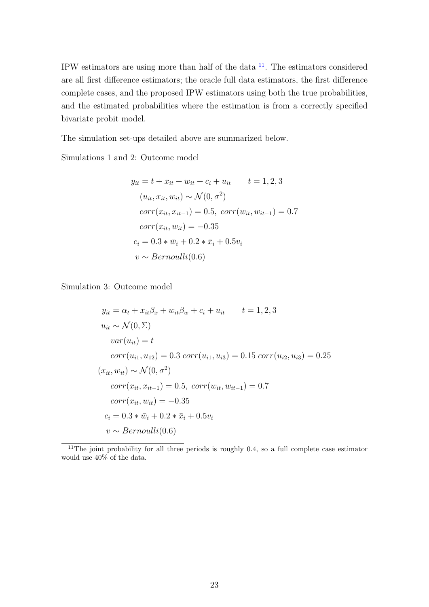IPW estimators are using more than half of the data  $11$ . The estimators considered are all first difference estimators; the oracle full data estimators, the first difference complete cases, and the proposed IPW estimators using both the true probabilities, and the estimated probabilities where the estimation is from a correctly specified bivariate probit model.

The simulation set-ups detailed above are summarized below.

Simulations 1 and 2: Outcome model

$$
y_{it} = t + x_{it} + w_{it} + c_i + u_{it} \t t = 1, 2, 3
$$
  
\n
$$
(u_{it}, x_{it}, w_{it}) \sim \mathcal{N}(0, \sigma^2)
$$
  
\n
$$
corr(x_{it}, x_{it-1}) = 0.5, corr(w_{it}, w_{it-1}) = 0.7
$$
  
\n
$$
corr(x_{it}, w_{it}) = -0.35
$$
  
\n
$$
c_i = 0.3 * \bar{w}_i + 0.2 * \bar{x}_i + 0.5v_i
$$
  
\n
$$
v \sim Bernoulli(0.6)
$$

Simulation 3: Outcome model

$$
y_{it} = \alpha_t + x_{it}\beta_x + w_{it}\beta_w + c_i + u_{it} \qquad t = 1, 2, 3
$$
  
\n
$$
u_{it} \sim \mathcal{N}(0, \Sigma)
$$
  
\n
$$
var(u_{it}) = t
$$
  
\n
$$
corr(u_{i1}, u_{12}) = 0.3 \, corr(u_{i1}, u_{i3}) = 0.15 \, corr(u_{i2}, u_{i3}) = 0.25
$$
  
\n
$$
(x_{it}, w_{it}) \sim \mathcal{N}(0, \sigma^2)
$$
  
\n
$$
corr(x_{it}, x_{it-1}) = 0.5, \, corr(w_{it}, w_{it-1}) = 0.7
$$
  
\n
$$
corr(x_{it}, w_{it}) = -0.35
$$
  
\n
$$
c_i = 0.3 * \bar{w}_i + 0.2 * \bar{x}_i + 0.5v_i
$$
  
\n
$$
v \sim Bernoulli(0.6)
$$

<span id="page-22-0"></span><sup>11</sup>The joint probability for all three periods is roughly 0.4, so a full complete case estimator would use 40% of the data.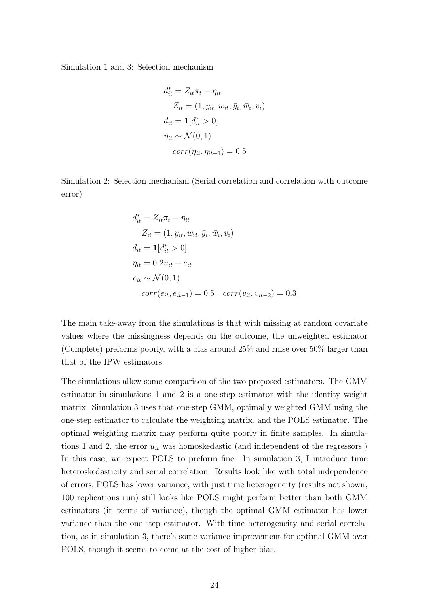Simulation 1 and 3: Selection mechanism

$$
d_{it}^* = Z_{it}\pi_t - \eta_{it}
$$
  
\n
$$
Z_{it} = (1, y_{it}, w_{it}, \bar{y}_i, \bar{w}_i, v_i)
$$
  
\n
$$
d_{it} = \mathbf{1}[d_{it}^* > 0]
$$
  
\n
$$
\eta_{it} \sim \mathcal{N}(0, 1)
$$
  
\n
$$
corr(\eta_{it}, \eta_{it-1}) = 0.5
$$

Simulation 2: Selection mechanism (Serial correlation and correlation with outcome error)

$$
d_{it}^{*} = Z_{it}\pi_{t} - \eta_{it}
$$
  
\n
$$
Z_{it} = (1, y_{it}, w_{it}, \bar{y}_{i}, \bar{w}_{i}, v_{i})
$$
  
\n
$$
d_{it} = \mathbf{1}[d_{it}^{*} > 0]
$$
  
\n
$$
\eta_{it} = 0.2u_{it} + e_{it}
$$
  
\n
$$
e_{it} \sim \mathcal{N}(0, 1)
$$
  
\n
$$
corr(e_{it}, e_{it-1}) = 0.5 \quad corr(v_{it}, v_{it-2}) = 0.3
$$

The main take-away from the simulations is that with missing at random covariate values where the missingness depends on the outcome, the unweighted estimator (Complete) preforms poorly, with a bias around 25% and rmse over 50% larger than that of the IPW estimators.

The simulations allow some comparison of the two proposed estimators. The GMM estimator in simulations 1 and 2 is a one-step estimator with the identity weight matrix. Simulation 3 uses that one-step GMM, optimally weighted GMM using the one-step estimator to calculate the weighting matrix, and the POLS estimator. The optimal weighting matrix may perform quite poorly in finite samples. In simulations 1 and 2, the error  $u_{it}$  was homoskedastic (and independent of the regressors.) In this case, we expect POLS to preform fine. In simulation 3, I introduce time heteroskedasticity and serial correlation. Results look like with total independence of errors, POLS has lower variance, with just time heterogeneity (results not shown, 100 replications run) still looks like POLS might perform better than both GMM estimators (in terms of variance), though the optimal GMM estimator has lower variance than the one-step estimator. With time heterogeneity and serial correlation, as in simulation 3, there's some variance improvement for optimal GMM over POLS, though it seems to come at the cost of higher bias.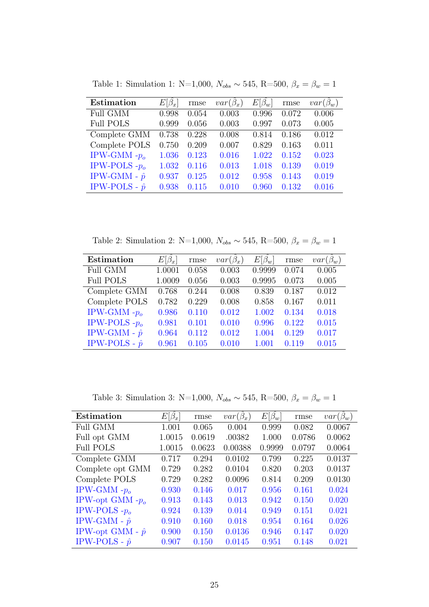| Estimation           | $E[\beta_r]$ | rmse  | $var(\beta_x)$ | $E[\beta_w]$ | rmse  | $var(\beta_w)$ |
|----------------------|--------------|-------|----------------|--------------|-------|----------------|
| Full GMM             | 0.998        | 0.054 | 0.003          | 0.996        | 0.072 | 0.006          |
| <b>Full POLS</b>     | 0.999        | 0.056 | 0.003          | 0.997        | 0.073 | 0.005          |
| Complete GMM         | 0.738        | 0.228 | 0.008          | 0.814        | 0.186 | 0.012          |
| Complete POLS        | 0.750        | 0.209 | 0.007          | 0.829        | 0.163 | 0.011          |
| IPW-GMM $-po$        | 1.036        | 0.123 | 0.016          | 1.022        | 0.152 | 0.023          |
| IPW-POLS $-p_0$      | 1.032        | 0.116 | 0.013          | 1.018        | 0.139 | 0.019          |
| IPW-GMM - $\hat{p}$  | 0.937        | 0.125 | 0.012          | 0.958        | 0.143 | 0.019          |
| IPW-POLS - $\hat{p}$ | 0.938        | 0.115 | 0.010          | 0.960        | 0.132 | 0.016          |

Table 1: Simulation 1: N=1,000,  $N_{obs} \sim 545$ , R=500,  $\beta_x = \beta_w = 1$ 

Table 2: Simulation 2: N=1,000,  $N_{obs} \sim 545$ , R=500,  $\beta_x = \beta_w = 1$ 

| Estimation           | $E[\beta_x]$ | rmse  | $var(\beta_x)$ | $E[\beta_w]$ | rmse  | $var(\beta_w)$ |
|----------------------|--------------|-------|----------------|--------------|-------|----------------|
| <b>Full GMM</b>      | 1.0001       | 0.058 | 0.003          | 0.9999       | 0.074 | 0.005          |
| <b>Full POLS</b>     | 1.0009       | 0.056 | 0.003          | 0.9995       | 0.073 | 0.005          |
| Complete GMM         | 0.768        | 0.244 | 0.008          | 0.839        | 0.187 | 0.012          |
| Complete POLS        | 0.782        | 0.229 | 0.008          | 0.858        | 0.167 | 0.011          |
| IPW-GMM $-po$        | 0.986        | 0.110 | 0.012          | 1.002        | 0.134 | 0.018          |
| IPW-POLS $-po$       | 0.981        | 0.101 | 0.010          | 0.996        | 0.122 | 0.015          |
| IPW-GMM - $\hat{p}$  | 0.964        | 0.112 | 0.012          | 1.004        | 0.129 | 0.017          |
| IPW-POLS - $\hat{p}$ | 0.961        | 0.105 | 0.010          | 1.001        | 0.119 | 0.015          |

Table 3: Simulation 3: N=1,000,  $N_{obs} \sim 545$ , R=500,  $\beta_x = \beta_w = 1$ 

| Estimation              | $E[\beta_x]$ | rmse   | $var(\beta_x)$ | $E[\beta_w]$ | rmse   | $var(\beta_w)$ |
|-------------------------|--------------|--------|----------------|--------------|--------|----------------|
| <b>Full GMM</b>         | 1.001        | 0.065  | 0.004          | 0.999        | 0.082  | 0.0067         |
| Full opt GMM            | 1.0015       | 0.0619 | .00382         | 1.000        | 0.0786 | 0.0062         |
| <b>Full POLS</b>        | 1.0015       | 0.0623 | 0.00388        | 0.9999       | 0.0797 | 0.0064         |
| Complete GMM            | 0.717        | 0.294  | 0.0102         | 0.799        | 0.225  | 0.0137         |
| Complete opt GMM        | 0.729        | 0.282  | 0.0104         | 0.820        | 0.203  | 0.0137         |
| Complete POLS           | 0.729        | 0.282  | 0.0096         | 0.814        | 0.209  | 0.0130         |
| IPW-GMM $-po$           | 0.930        | 0.146  | 0.017          | 0.956        | 0.161  | 0.024          |
| IPW-opt GMM $-po$       | 0.913        | 0.143  | 0.013          | 0.942        | 0.150  | 0.020          |
| IPW-POLS $-po$          | 0.924        | 0.139  | 0.014          | 0.949        | 0.151  | 0.021          |
| IPW-GMM - $\hat{p}$     | 0.910        | 0.160  | 0.018          | 0.954        | 0.164  | 0.026          |
| IPW-opt GMM - $\hat{p}$ | 0.900        | 0.150  | 0.0136         | 0.946        | 0.147  | 0.020          |
| IPW-POLS - $\hat{p}$    | 0.907        | 0.150  | 0.0145         | 0.951        | 0.148  | 0.021          |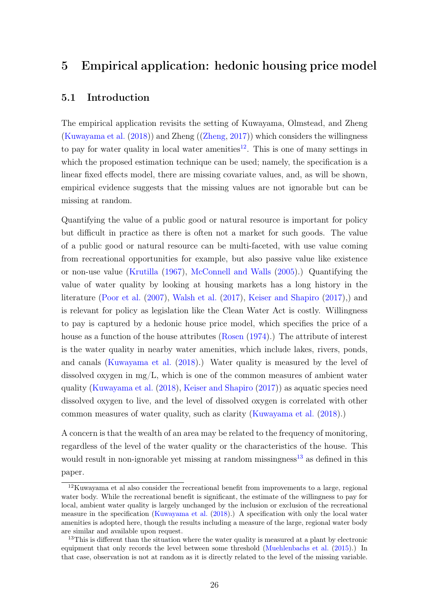# 5 Empirical application: hedonic housing price model

## 5.1 Introduction

The empirical application revisits the setting of Kuwayama, Olmstead, and Zheng [\(Kuwayama et al.](#page-45-0) [\(2018\)](#page-45-0)) and Zheng ([\(Zheng,](#page-47-6) [2017\)](#page-47-6)) which considers the willingness to pay for water quality in local water amenities<sup>[12](#page-25-0)</sup>. This is one of many settings in which the proposed estimation technique can be used; namely, the specification is a linear fixed effects model, there are missing covariate values, and, as will be shown, empirical evidence suggests that the missing values are not ignorable but can be missing at random.

Quantifying the value of a public good or natural resource is important for policy but difficult in practice as there is often not a market for such goods. The value of a public good or natural resource can be multi-faceted, with use value coming from recreational opportunities for example, but also passive value like existence or non-use value [\(Krutilla](#page-45-6) [\(1967\)](#page-45-6), [McConnell and Walls](#page-46-7) [\(2005\)](#page-46-7).) Quantifying the value of water quality by looking at housing markets has a long history in the literature [\(Poor et al.](#page-46-8) [\(2007\)](#page-46-8), [Walsh et al.](#page-47-5) [\(2017\)](#page-47-5), [Keiser and Shapiro](#page-45-7) [\(2017\)](#page-45-7),) and is relevant for policy as legislation like the Clean Water Act is costly. Willingness to pay is captured by a hedonic house price model, which specifies the price of a house as a function of the house attributes [\(Rosen](#page-46-9) [\(1974\)](#page-46-9).) The attribute of interest is the water quality in nearby water amenities, which include lakes, rivers, ponds, and canals [\(Kuwayama et al.](#page-45-0) [\(2018\)](#page-45-0).) Water quality is measured by the level of dissolved oxygen in  $mg/L$ , which is one of the common measures of ambient water quality [\(Kuwayama et al.](#page-45-0) [\(2018\)](#page-45-0), [Keiser and Shapiro](#page-45-7) [\(2017\)](#page-45-7)) as aquatic species need dissolved oxygen to live, and the level of dissolved oxygen is correlated with other common measures of water quality, such as clarity [\(Kuwayama et al.](#page-45-0) [\(2018\)](#page-45-0).)

A concern is that the wealth of an area may be related to the frequency of monitoring, regardless of the level of the water quality or the characteristics of the house. This would result in non-ignorable yet missing at random missingness<sup>[13](#page-25-1)</sup> as defined in this paper.

<span id="page-25-0"></span> $12$ Kuwayama et al also consider the recreational benefit from improvements to a large, regional water body. While the recreational benefit is significant, the estimate of the willingness to pay for local, ambient water quality is largely unchanged by the inclusion or exclusion of the recreational measure in the specification [\(Kuwayama et al.](#page-45-0) [\(2018\)](#page-45-0).) A specification with only the local water amenities is adopted here, though the results including a measure of the large, regional water body are similar and available upon request.

<span id="page-25-1"></span><sup>&</sup>lt;sup>13</sup>This is different than the situation where the water quality is measured at a plant by electronic equipment that only records the level between some threshold [\(Muehlenbachs et al.](#page-46-10) [\(2015\)](#page-46-10).) In that case, observation is not at random as it is directly related to the level of the missing variable.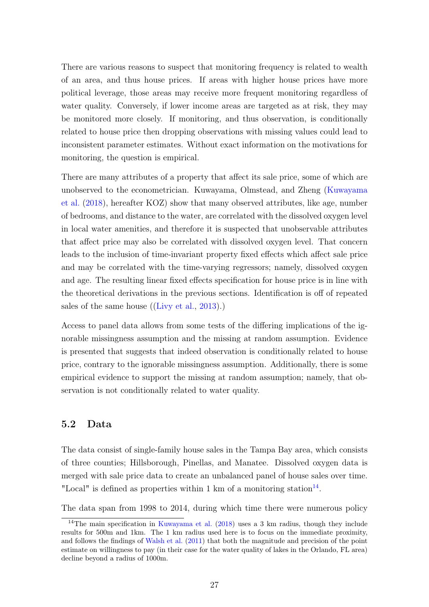There are various reasons to suspect that monitoring frequency is related to wealth of an area, and thus house prices. If areas with higher house prices have more political leverage, those areas may receive more frequent monitoring regardless of water quality. Conversely, if lower income areas are targeted as at risk, they may be monitored more closely. If monitoring, and thus observation, is conditionally related to house price then dropping observations with missing values could lead to inconsistent parameter estimates. Without exact information on the motivations for monitoring, the question is empirical.

There are many attributes of a property that affect its sale price, some of which are unobserved to the econometrician. Kuwayama, Olmstead, and Zheng [\(Kuwayama](#page-45-0) [et al.](#page-45-0) [\(2018\)](#page-45-0), hereafter KOZ) show that many observed attributes, like age, number of bedrooms, and distance to the water, are correlated with the dissolved oxygen level in local water amenities, and therefore it is suspected that unobservable attributes that affect price may also be correlated with dissolved oxygen level. That concern leads to the inclusion of time-invariant property fixed effects which affect sale price and may be correlated with the time-varying regressors; namely, dissolved oxygen and age. The resulting linear fixed effects specification for house price is in line with the theoretical derivations in the previous sections. Identification is off of repeated sales of the same house ([\(Livy et al.,](#page-45-8) [2013\)](#page-45-8).)

Access to panel data allows from some tests of the differing implications of the ignorable missingness assumption and the missing at random assumption. Evidence is presented that suggests that indeed observation is conditionally related to house price, contrary to the ignorable missingness assumption. Additionally, there is some empirical evidence to support the missing at random assumption; namely, that observation is not conditionally related to water quality.

## 5.2 Data

The data consist of single-family house sales in the Tampa Bay area, which consists of three counties; Hillsborough, Pinellas, and Manatee. Dissolved oxygen data is merged with sale price data to create an unbalanced panel of house sales over time. "Local" is defined as properties within 1 km of a monitoring station $14$ .

The data span from 1998 to 2014, during which time there were numerous policy

<span id="page-26-0"></span><sup>&</sup>lt;sup>14</sup>The main specification in [Kuwayama et al.](#page-45-0)  $(2018)$  uses a 3 km radius, though they include results for 500m and 1km. The 1 km radius used here is to focus on the immediate proximity, and follows the findings of [Walsh et al.](#page-47-7) [\(2011\)](#page-47-7) that both the magnitude and precision of the point estimate on willingness to pay (in their case for the water quality of lakes in the Orlando, FL area) decline beyond a radius of 1000m.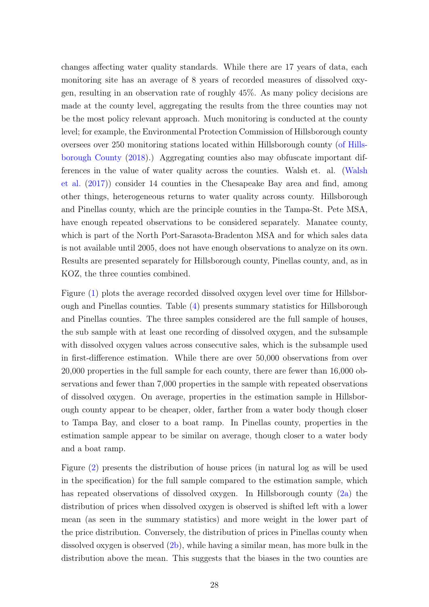changes affecting water quality standards. While there are 17 years of data, each monitoring site has an average of 8 years of recorded measures of dissolved oxygen, resulting in an observation rate of roughly 45%. As many policy decisions are made at the county level, aggregating the results from the three counties may not be the most policy relevant approach. Much monitoring is conducted at the county level; for example, the Environmental Protection Commission of Hillsborough county oversees over 250 monitoring stations located within Hillsborough county [\(of Hills](#page-46-11)[borough County](#page-46-11) [\(2018\)](#page-46-11).) Aggregating counties also may obfuscate important differences in the value of water quality across the counties. Walsh et. al. [\(Walsh](#page-47-5) [et al.](#page-47-5) [\(2017\)](#page-47-5)) consider 14 counties in the Chesapeake Bay area and find, among other things, heterogeneous returns to water quality across county. Hillsborough and Pinellas county, which are the principle counties in the Tampa-St. Pete MSA, have enough repeated observations to be considered separately. Manatee county, which is part of the North Port-Sarasota-Bradenton MSA and for which sales data is not available until 2005, does not have enough observations to analyze on its own. Results are presented separately for Hillsborough county, Pinellas county, and, as in KOZ, the three counties combined.

Figure [\(1\)](#page-28-0) plots the average recorded dissolved oxygen level over time for Hillsborough and Pinellas counties. Table [\(4\)](#page-34-0) presents summary statistics for Hillsborough and Pinellas counties. The three samples considered are the full sample of houses, the sub sample with at least one recording of dissolved oxygen, and the subsample with dissolved oxygen values across consecutive sales, which is the subsample used in first-difference estimation. While there are over 50,000 observations from over 20,000 properties in the full sample for each county, there are fewer than 16,000 observations and fewer than 7,000 properties in the sample with repeated observations of dissolved oxygen. On average, properties in the estimation sample in Hillsborough county appear to be cheaper, older, farther from a water body though closer to Tampa Bay, and closer to a boat ramp. In Pinellas county, properties in the estimation sample appear to be similar on average, though closer to a water body and a boat ramp.

Figure [\(2\)](#page-29-0) presents the distribution of house prices (in natural log as will be used in the specification) for the full sample compared to the estimation sample, which has repeated observations of dissolved oxygen. In Hillsborough county [\(2a\)](#page-29-0) the distribution of prices when dissolved oxygen is observed is shifted left with a lower mean (as seen in the summary statistics) and more weight in the lower part of the price distribution. Conversely, the distribution of prices in Pinellas county when dissolved oxygen is observed [\(2b\)](#page-29-0), while having a similar mean, has more bulk in the distribution above the mean. This suggests that the biases in the two counties are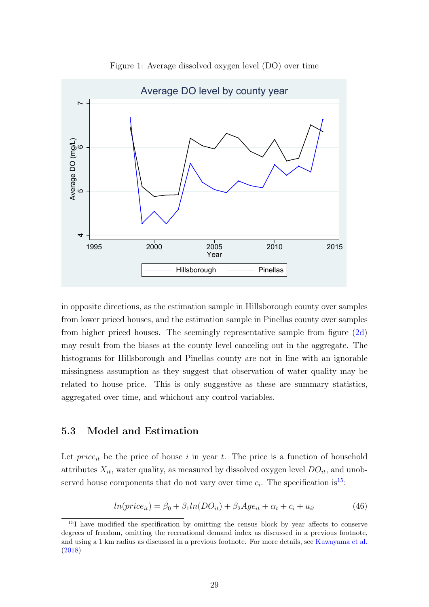<span id="page-28-0"></span>

Figure 1: Average dissolved oxygen level (DO) over time

in opposite directions, as the estimation sample in Hillsborough county over samples from lower priced houses, and the estimation sample in Pinellas county over samples from higher priced houses. The seemingly representative sample from figure [\(2d\)](#page-29-0) may result from the biases at the county level canceling out in the aggregate. The histograms for Hillsborough and Pinellas county are not in line with an ignorable missingness assumption as they suggest that observation of water quality may be related to house price. This is only suggestive as these are summary statistics, aggregated over time, and whichout any control variables.

## 5.3 Model and Estimation

Let  $price_{it}$  be the price of house i in year t. The price is a function of household attributes  $X_{it}$ , water quality, as measured by dissolved oxygen level  $DO_{it}$ , and unobserved house components that do not vary over time  $c_i$ . The specification is<sup>[15](#page-28-1)</sup>:

$$
ln(price_{it}) = \beta_0 + \beta_1 ln(DO_{it}) + \beta_2 Age_{it} + \alpha_t + c_i + u_{it}
$$
\n
$$
(46)
$$

<span id="page-28-1"></span><sup>&</sup>lt;sup>15</sup>I have modified the specification by omitting the census block by year affects to conserve degrees of freedom, omitting the recreational demand index as discussed in a previous footnote, and using a 1 km radius as discussed in a previous footnote. For more details, see [Kuwayama et al.](#page-45-0) [\(2018\)](#page-45-0)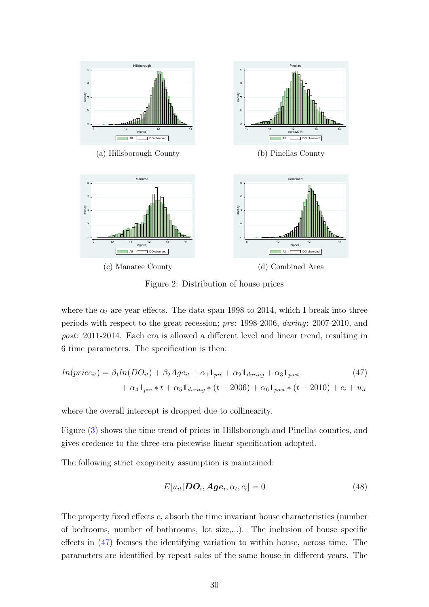<span id="page-29-0"></span>

<span id="page-29-1"></span>Figure 2: Distribution of house prices

where the  $\alpha_t$  are year effects. The data span 1998 to 2014, which I break into three periods with respect to the great recession; pre: 1998-2006, during: 2007-2010, and post: 2011-2014. Each era is allowed a different level and linear trend, resulting in 6 time parameters. The specification is then:

$$
ln(price_{it}) = \beta_1 ln(DO_{it}) + \beta_2 Age_{it} + \alpha_1 \mathbf{1}_{pre} + \alpha_2 \mathbf{1}_{during} + \alpha_3 \mathbf{1}_{post}
$$
  
+  $\alpha_4 \mathbf{1}_{pre} * t + \alpha_5 \mathbf{1}_{during} * (t - 2006) + \alpha_6 \mathbf{1}_{post} * (t - 2010) + c_i + u_{it}$  (47)

where the overall intercept is dropped due to collinearity.

Figure [\(3\)](#page-30-0) shows the time trend of prices in Hillsborough and Pinellas counties, and gives credence to the three-era piecewise linear specification adopted.

The following strict exogeneity assumption is maintained:

$$
E[u_{it}|\boldsymbol{DO}_{i}, \boldsymbol{Age}_{i}, \alpha_{t}, c_{i}] = 0 \tag{48}
$$

The property fixed effects  $c_i$  absorb the time invariant house characteristics (number of bedrooms, number of bathrooms, lot size,...). The inclusion of house specific effects in [\(47\)](#page-29-1) focuses the identifying variation to within house, across time. The parameters are identified by repeat sales of the same house in different years. The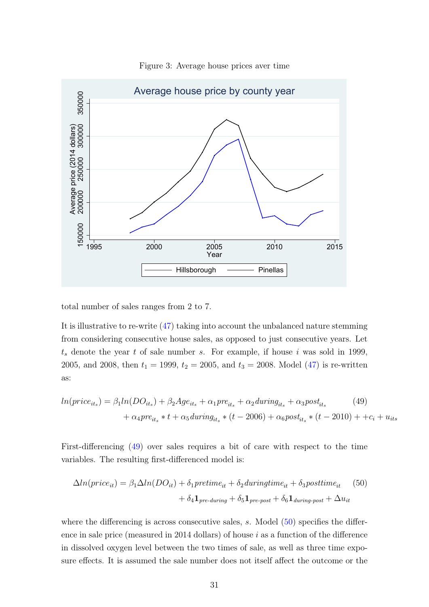<span id="page-30-0"></span>

Figure 3: Average house prices aver time

total number of sales ranges from 2 to 7.

It is illustrative to re-write [\(47\)](#page-29-1) taking into account the unbalanced nature stemming from considering consecutive house sales, as opposed to just consecutive years. Let  $t<sub>s</sub>$  denote the year t of sale number s. For example, if house i was sold in 1999, 2005, and 2008, then  $t_1 = 1999$ ,  $t_2 = 2005$ , and  $t_3 = 2008$ . Model [\(47\)](#page-29-1) is re-written as:

<span id="page-30-1"></span>
$$
ln(price_{its}) = \beta_1 ln(DO_{its}) + \beta_2 Age_{its} + \alpha_1 pre_{its} + \alpha_2 during_{its} + \alpha_3 post_{its}
$$
\n
$$
+ \alpha_4 pre_{its} * t + \alpha_5 during_{its} * (t - 2006) + \alpha_6 post_{its} * (t - 2010) + +c_i + u_{its}
$$
\n(49)

First-differencing [\(49\)](#page-30-1) over sales requires a bit of care with respect to the time variables. The resulting first-differenced model is:

<span id="page-30-2"></span>
$$
\Delta ln(price_{it}) = \beta_1 \Delta ln(DO_{it}) + \delta_1 pretime_{it} + \delta_2 during time_{it} + \delta_3 posttime_{it} \tag{50}
$$

$$
+ \delta_4 \mathbf{1}_{pre\text{-}during} + \delta_5 \mathbf{1}_{pre\text{-}post} + \delta_6 \mathbf{1}_{during\text{-}post} + \Delta u_{it}
$$

where the differencing is across consecutive sales,  $s$ . Model  $(50)$  specifies the difference in sale price (measured in 2014 dollars) of house  $i$  as a function of the difference in dissolved oxygen level between the two times of sale, as well as three time exposure effects. It is assumed the sale number does not itself affect the outcome or the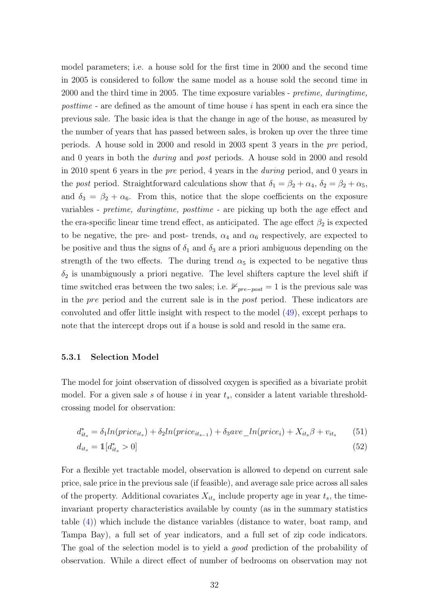model parameters; i.e. a house sold for the first time in 2000 and the second time in 2005 is considered to follow the same model as a house sold the second time in 2000 and the third time in 2005. The time exposure variables - pretime, duringtime, posttime - are defined as the amount of time house i has spent in each era since the previous sale. The basic idea is that the change in age of the house, as measured by the number of years that has passed between sales, is broken up over the three time periods. A house sold in 2000 and resold in 2003 spent 3 years in the pre period, and 0 years in both the during and post periods. A house sold in 2000 and resold in 2010 spent 6 years in the pre period, 4 years in the during period, and 0 years in the post period. Straightforward calculations show that  $\delta_1 = \beta_2 + \alpha_4$ ,  $\delta_2 = \beta_2 + \alpha_5$ , and  $\delta_3 = \beta_2 + \alpha_6$ . From this, notice that the slope coefficients on the exposure variables - pretime, duringtime, posttime - are picking up both the age effect and the era-specific linear time trend effect, as anticipated. The age effect  $\beta_2$  is expected to be negative, the pre- and post- trends,  $\alpha_4$  and  $\alpha_6$  respectively, are expected to be positive and thus the signs of  $\delta_1$  and  $\delta_3$  are a priori ambiguous depending on the strength of the two effects. The during trend  $\alpha_5$  is expected to be negative thus  $\delta_2$  is unambiguously a priori negative. The level shifters capture the level shift if time switched eras between the two sales; i.e.  $\mathbb{1}_{pre-post} = 1$  is the previous sale was in the pre period and the current sale is in the post period. These indicators are convoluted and offer little insight with respect to the model [\(49\)](#page-30-1), except perhaps to note that the intercept drops out if a house is sold and resold in the same era.

#### 5.3.1 Selection Model

The model for joint observation of dissolved oxygen is specified as a bivariate probit model. For a given sale s of house i in year  $t_s$ , consider a latent variable thresholdcrossing model for observation:

<span id="page-31-0"></span>
$$
d_{it_s}^* = \delta_1 ln(price_{it_s}) + \delta_2 ln(price_{it_{s-1}}) + \delta_3 ave\_ln(price_i) + X_{it_s}\beta + v_{it_s}
$$
 (51)  

$$
d_{it_s} = \mathbb{1}[d_{it_s}^* > 0]
$$
 (52)

For a flexible yet tractable model, observation is allowed to depend on current sale price, sale price in the previous sale (if feasible), and average sale price across all sales of the property. Additional covariates  $X_{it_s}$  include property age in year  $t_s$ , the timeinvariant property characteristics available by county (as in the summary statistics table [\(4\)](#page-34-0)) which include the distance variables (distance to water, boat ramp, and Tampa Bay), a full set of year indicators, and a full set of zip code indicators. The goal of the selection model is to yield a *good* prediction of the probability of observation. While a direct effect of number of bedrooms on observation may not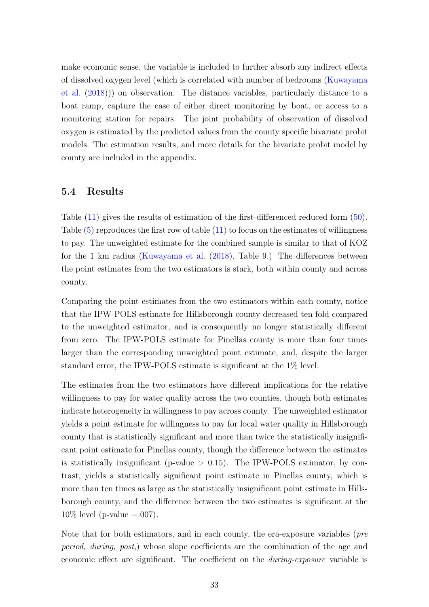make economic sense, the variable is included to further absorb any indirect effects of dissolved oxygen level (which is correlated with number of bedrooms [\(Kuwayama](#page-45-0) [et al.](#page-45-0) [\(2018\)](#page-45-0))) on observation. The distance variables, particularly distance to a boat ramp, capture the ease of either direct monitoring by boat, or access to a monitoring station for repairs. The joint probability of observation of dissolved oxygen is estimated by the predicted values from the county specific bivariate probit models. The estimation results, and more details for the bivariate probit model by county are included in the appendix.

### 5.4 Results

Table [\(11\)](#page-39-0) gives the results of estimation of the first-differenced reduced form [\(50\)](#page-30-2). Table [\(5\)](#page-35-0) reproduces the first row of table [\(11\)](#page-39-0) to focus on the estimates of willingness to pay. The unweighted estimate for the combined sample is similar to that of KOZ for the 1 km radius [\(Kuwayama et al.](#page-45-0) [\(2018\)](#page-45-0), Table 9.) The differences between the point estimates from the two estimators is stark, both within county and across county.

Comparing the point estimates from the two estimators within each county, notice that the IPW-POLS estimate for Hillsborough county decreased ten fold compared to the unweighted estimator, and is consequently no longer statistically different from zero. The IPW-POLS estimate for Pinellas county is more than four times larger than the corresponding unweighted point estimate, and, despite the larger standard error, the IPW-POLS estimate is significant at the 1% level.

The estimates from the two estimators have different implications for the relative willingness to pay for water quality across the two counties, though both estimates indicate heterogeneity in willingness to pay across county. The unweighted estimator yields a point estimate for willingness to pay for local water quality in Hillsborough county that is statistically significant and more than twice the statistically insignificant point estimate for Pinellas county, though the difference between the estimates is statistically insignificant (p-value  $> 0.15$ ). The IPW-POLS estimator, by contrast, yields a statistically significant point estimate in Pinellas county, which is more than ten times as large as the statistically insignificant point estimate in Hillsborough county, and the difference between the two estimates is significant at the  $10\%$  level (p-value = 0.007).

Note that for both estimators, and in each county, the era-exposure variables (pre period, during, post,) whose slope coefficients are the combination of the age and economic effect are significant. The coefficient on the *during-exposure* variable is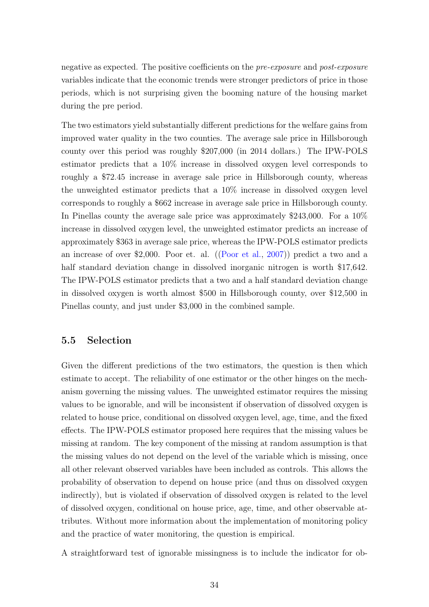negative as expected. The positive coefficients on the pre-exposure and post-exposure variables indicate that the economic trends were stronger predictors of price in those periods, which is not surprising given the booming nature of the housing market during the pre period.

The two estimators yield substantially different predictions for the welfare gains from improved water quality in the two counties. The average sale price in Hillsborough county over this period was roughly \$207,000 (in 2014 dollars.) The IPW-POLS estimator predicts that a 10% increase in dissolved oxygen level corresponds to roughly a \$72.45 increase in average sale price in Hillsborough county, whereas the unweighted estimator predicts that a 10% increase in dissolved oxygen level corresponds to roughly a \$662 increase in average sale price in Hillsborough county. In Pinellas county the average sale price was approximately \$243,000. For a 10% increase in dissolved oxygen level, the unweighted estimator predicts an increase of approximately \$363 in average sale price, whereas the IPW-POLS estimator predicts an increase of over \$2,000. Poor et. al. ([\(Poor et al.,](#page-46-8) [2007\)](#page-46-8)) predict a two and a half standard deviation change in dissolved inorganic nitrogen is worth \$17,642. The IPW-POLS estimator predicts that a two and a half standard deviation change in dissolved oxygen is worth almost \$500 in Hillsborough county, over \$12,500 in Pinellas county, and just under \$3,000 in the combined sample.

## 5.5 Selection

Given the different predictions of the two estimators, the question is then which estimate to accept. The reliability of one estimator or the other hinges on the mechanism governing the missing values. The unweighted estimator requires the missing values to be ignorable, and will be inconsistent if observation of dissolved oxygen is related to house price, conditional on dissolved oxygen level, age, time, and the fixed effects. The IPW-POLS estimator proposed here requires that the missing values be missing at random. The key component of the missing at random assumption is that the missing values do not depend on the level of the variable which is missing, once all other relevant observed variables have been included as controls. This allows the probability of observation to depend on house price (and thus on dissolved oxygen indirectly), but is violated if observation of dissolved oxygen is related to the level of dissolved oxygen, conditional on house price, age, time, and other observable attributes. Without more information about the implementation of monitoring policy and the practice of water monitoring, the question is empirical.

A straightforward test of ignorable missingness is to include the indicator for ob-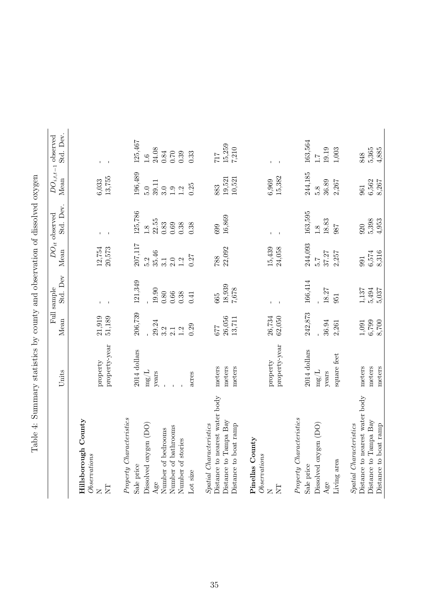<span id="page-34-0"></span>

|                                                                                                                                                      | Units                                                            | Mean                                                   | Std. Dev<br>Full sample                              | Mean                                                        | Std. Dev.<br>$DO_{it}$ observed                                           | Mean                                                       | Std. Dev.<br>$DO_{i,t,t-1}$ observed                              |
|------------------------------------------------------------------------------------------------------------------------------------------------------|------------------------------------------------------------------|--------------------------------------------------------|------------------------------------------------------|-------------------------------------------------------------|---------------------------------------------------------------------------|------------------------------------------------------------|-------------------------------------------------------------------|
| Hillsborough County<br>Observations<br>$\overline{\text{NT}}$<br>$\geq$                                                                              | property-year<br>property                                        | 21,919<br>51,189                                       | $\mathbf{I}$                                         | $12,754$<br>20,573                                          | $\mathbf{I}$                                                              | $6,033$<br>13,755                                          | $\mathbf{I}$                                                      |
| Property Characteristics<br>Dissolved oxygen (DO)<br>Number of bathrooms<br>Number of bedrooms<br>Number of stories<br>Sale price<br>Lot size<br>Age | 2014 dollars<br>$\mathrm{mg}/\mathrm{L}$<br>years<br>acres       | 206,739<br>29.24<br>0.29<br>3.2<br>1.2<br>2.1          | 121,349<br>19.90<br>0.80<br>$0.66\,$<br>0.38<br>0.41 | 207,117<br>35.46<br>0.27<br>5.2<br>$\ddot{S}$<br>3.1<br>2.0 | 125,786<br>22.55<br>$\rm 0.83$<br>$\rm 0.38$<br>0.38<br>$\,0.69\,$<br>1.8 | 196,489<br>39.11<br>0.25<br>5.0<br>3.0<br>$\frac{0}{1}$ .2 | 125,467<br>24.08<br>$\rm 0.84$<br>$0.70\,$<br>0.39<br>0.33<br>1.6 |
| Distance to nearest water body<br>Distance to Tampa Bay<br>Spatial Characteristics<br>Distance to boat ramp                                          | meters<br>meters<br>meters                                       | $26,056$<br>13,711<br><b>229</b>                       | 18,939<br>7,678<br>665                               | 22,092<br>788                                               | 16,869<br>699                                                             | $19,521$<br>$10,521$<br>883                                | 15,259<br>7,210<br>717                                            |
| Pinellas County<br>Observations<br><b>EN</b><br>$\geq$                                                                                               | property-year<br>property                                        | $26,734$<br>$62,050$                                   |                                                      | $15,439$<br>$24,058$                                        |                                                                           | $6,969$<br>15,382                                          |                                                                   |
| Property Characteristics<br>Dissolved oxygen (DO)<br>Living area<br>Sale price<br>Age                                                                | 2014 dollars<br>square feet<br>$\mathrm{mg}/\mathrm{L}$<br>years | 242,873<br>36.94<br>2,261                              | 166,414<br>18.27<br>951                              | 244,093<br>37.27<br>2,257<br>5.7                            | 163,595<br>18.83<br>987<br>$\overline{1.8}$                               | 244,185<br>36.89<br>2,267<br>5.8                           | 163,564<br>19.19<br>1,003<br>$\ddot{1}$ .                         |
| Distance to nearest water body<br>Distance to Tampa Bay<br>Spatial Characteristics<br>Distance to boat ramp                                          | meters<br>meters<br>meters                                       | $\begin{array}{c} 1,091 \\ 6,799 \\ 8,700 \end{array}$ | 1,137<br>$5,494$<br>$5,037$                          | $6,574$<br>8,316<br>991                                     | 5,398<br>4,953<br>920                                                     | 6,562<br>8,267<br>961                                      | $5,365$<br>$4,885$<br>848                                         |

Table 4: Summary statistics by county and observation of dissolved oxygen Table 4: Summary statistics by county and observation of dissolved oxygen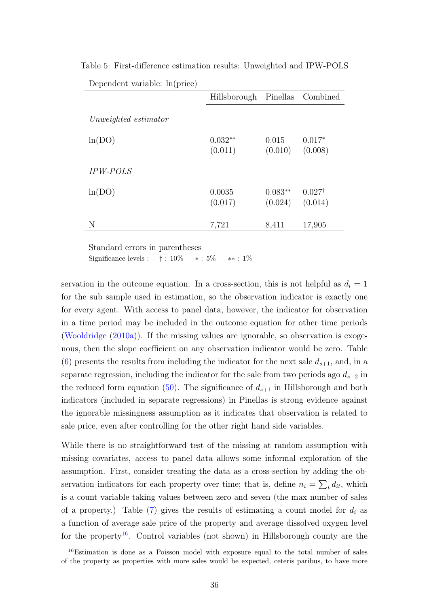|                      | Hillsborough Pinellas Combined |                      |                              |
|----------------------|--------------------------------|----------------------|------------------------------|
| Unweighted estimator |                                |                      |                              |
| ln(DO)               | $0.032**$<br>(0.011)           | 0.015<br>(0.010)     | $0.017*$<br>(0.008)          |
| <b>IPW-POLS</b>      |                                |                      |                              |
| ln(DO)               | 0.0035<br>(0.017)              | $0.083**$<br>(0.024) | $0.027^{\dagger}$<br>(0.014) |
| N                    | 7,721                          | 8,411                | 17,905                       |

<span id="page-35-0"></span>Table 5: First-difference estimation results: Unweighted and IPW-POLS Dependent variable: ln(price)

Standard errors in parentheses

Significance levels :  $\dagger$  : 10%  $*$  : 5%  $*$  : 1%

servation in the outcome equation. In a cross-section, this is not helpful as  $d_i = 1$ for the sub sample used in estimation, so the observation indicator is exactly one for every agent. With access to panel data, however, the indicator for observation in a time period may be included in the outcome equation for other time periods [\(Wooldridge](#page-47-1) [\(2010a\)](#page-47-1)). If the missing values are ignorable, so observation is exogenous, then the slope coefficient on any observation indicator would be zero. Table [\(6\)](#page-37-0) presents the results from including the indicator for the next sale  $d_{s+1}$ , and, in a separate regression, including the indicator for the sale from two periods ago  $d_{s-2}$  in the reduced form equation [\(50\)](#page-30-2). The significance of  $d_{s+1}$  in Hillsborough and both indicators (included in separate regressions) in Pinellas is strong evidence against the ignorable missingness assumption as it indicates that observation is related to sale price, even after controlling for the other right hand side variables.

While there is no straightforward test of the missing at random assumption with missing covariates, access to panel data allows some informal exploration of the assumption. First, consider treating the data as a cross-section by adding the observation indicators for each property over time; that is, define  $n_i = \sum_t d_{it}$ , which is a count variable taking values between zero and seven (the max number of sales of a property.) Table [\(7\)](#page-37-1) gives the results of estimating a count model for  $d_i$  as a function of average sale price of the property and average dissolved oxygen level for the property<sup>[16](#page-35-1)</sup>. Control variables (not shown) in Hillsborough county are the

<span id="page-35-1"></span><sup>&</sup>lt;sup>16</sup>Estimation is done as a Poisson model with exposure equal to the total number of sales of the property as properties with more sales would be expected, ceteris paribus, to have more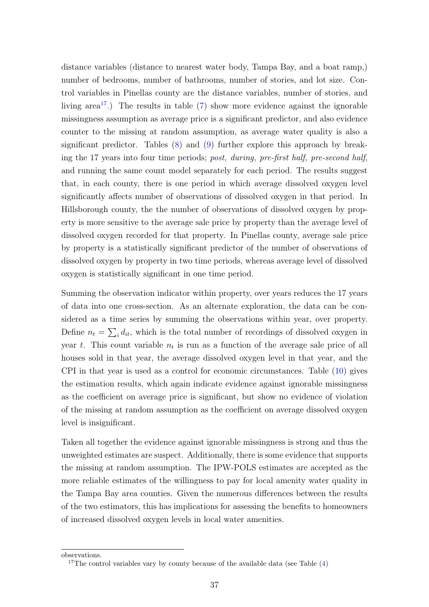distance variables (distance to nearest water body, Tampa Bay, and a boat ramp,) number of bedrooms, number of bathrooms, number of stories, and lot size. Control variables in Pinellas county are the distance variables, number of stories, and living area<sup>[17](#page-36-0)</sup>.) The results in table  $(7)$  show more evidence against the ignorable missingness assumption as average price is a significant predictor, and also evidence counter to the missing at random assumption, as average water quality is also a significant predictor. Tables  $(8)$  and  $(9)$  further explore this approach by breaking the 17 years into four time periods; post, during, pre-first half, pre-second half, and running the same count model separately for each period. The results suggest that, in each county, there is one period in which average dissolved oxygen level significantly affects number of observations of dissolved oxygen in that period. In Hillsborough county, the the number of observations of dissolved oxygen by property is more sensitive to the average sale price by property than the average level of dissolved oxygen recorded for that property. In Pinellas county, average sale price by property is a statistically significant predictor of the number of observations of dissolved oxygen by property in two time periods, whereas average level of dissolved oxygen is statistically significant in one time period.

Summing the observation indicator within property, over years reduces the 17 years of data into one cross-section. As an alternate exploration, the data can be considered as a time series by summing the observations within year, over property. Define  $n_t = \sum_i d_{it}$ , which is the total number of recordings of dissolved oxygen in year t. This count variable  $n_t$  is run as a function of the average sale price of all houses sold in that year, the average dissolved oxygen level in that year, and the CPI in that year is used as a control for economic circumstances. Table [\(10\)](#page-38-1) gives the estimation results, which again indicate evidence against ignorable missingness as the coefficient on average price is significant, but show no evidence of violation of the missing at random assumption as the coefficient on average dissolved oxygen level is insignificant.

Taken all together the evidence against ignorable missingness is strong and thus the unweighted estimates are suspect. Additionally, there is some evidence that supports the missing at random assumption. The IPW-POLS estimates are accepted as the more reliable estimates of the willingness to pay for local amenity water quality in the Tampa Bay area counties. Given the numerous differences between the results of the two estimators, this has implications for assessing the benefits to homeowners of increased dissolved oxygen levels in local water amenities.

observations.

<span id="page-36-0"></span><sup>&</sup>lt;sup>17</sup>The control variables vary by county because of the available data (see Table  $(4)$ )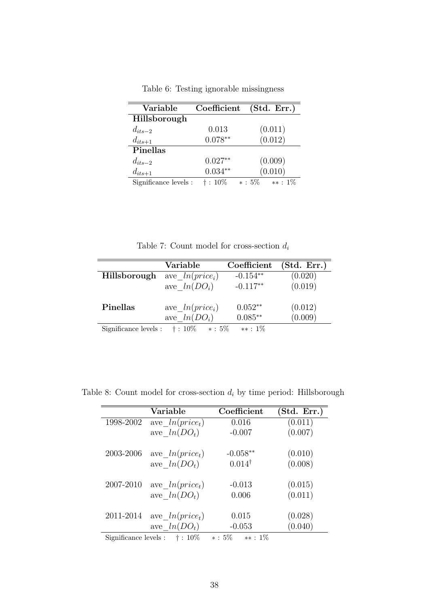<span id="page-37-0"></span>

| Variable              | Coefficient     | (Std. Err.)             |
|-----------------------|-----------------|-------------------------|
| Hillsborough          |                 |                         |
| $d_{its-2}$           | 0.013           | (0.011)                 |
| $d_{its+1}$           | $0.078**$       | (0.012)                 |
| Pinellas              |                 |                         |
| $d_{its-2}$           | $0.027**$       | (0.009)                 |
| $d_{its+1}$           | $0.034**$       | (0.010)                 |
| Significance levels : | $\dagger$ : 10% | $\ast:5\%$<br>$**: 1\%$ |

Table 6: Testing ignorable missingness

Table 7: Count model for cross-section  $\boldsymbol{d_i}$ 

<span id="page-37-1"></span>

|                       | Variable                     | Coefficient | (Std. Err.) |
|-----------------------|------------------------------|-------------|-------------|
| Hillsborough          | ave $ln(price_i)$            | $-0.154**$  | (0.020)     |
|                       | ave $ln(DO_i)$               | $-0.117**$  | (0.019)     |
| <b>Pinellas</b>       | ave $ln(price_i)$            | $0.052**$   | (0.012)     |
|                       | ave $ln(DO_i)$               | $0.085**$   | (0.009)     |
| Significance levels : | $\dagger$ : 10%<br>$* : 5\%$ | $**: 1\%$   |             |

<span id="page-37-2"></span>Table 8: Count model for cross-section  $d_i$  by time period: Hillsborough

|                       | Variable          | Coefficient              | (Std. Err.) |
|-----------------------|-------------------|--------------------------|-------------|
| 1998-2002             | ave $ln(price_t)$ | 0.016                    | (0.011)     |
|                       | ave $ln(DO_t)$    | $-0.007$                 | (0.007)     |
| 2003-2006             | ave $ln(price_t)$ | $-0.058**$               | (0.010)     |
|                       | ave $ln(DO_t)$    | $0.014^{\dagger}$        | (0.008)     |
| 2007-2010             | ave $ln(price_t)$ | $-0.013$                 | (0.015)     |
|                       | ave $ln(DO_t)$    | 0.006                    | (0.011)     |
| 2011-2014             | ave $ln(price_t)$ | 0.015                    | (0.028)     |
|                       | ave $ln(DO_t)$    | $-0.053$                 | (0.040)     |
| Significance levels : | $\dagger$ : 10%   | $\ast: 5\%$<br>$**: 1\%$ |             |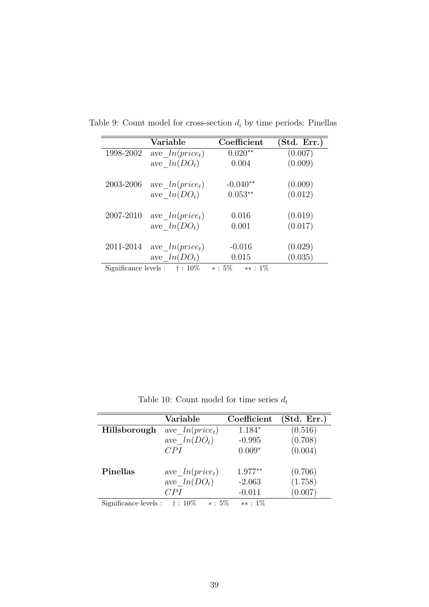|           | Variable                                                     | Coefficient | (Std. Err.) |
|-----------|--------------------------------------------------------------|-------------|-------------|
| 1998-2002 | ave $ln(price_t)$                                            | $0.020**$   | (0.007)     |
|           | ave $ln(DO_t)$                                               | 0.004       | (0.009)     |
|           |                                                              |             |             |
| 2003-2006 | ave $ln(price_t)$                                            | $-0.040**$  | (0.009)     |
|           | ave $ln(DO_t)$                                               | $0.053**$   | (0.012)     |
|           |                                                              |             |             |
| 2007-2010 | ave $ln(price_t)$                                            | 0.016       | (0.019)     |
|           | ave $ln(DO_t)$                                               | 0.001       | (0.017)     |
|           |                                                              |             |             |
| 2011-2014 | ave $ln(price_t)$                                            | $-0.016$    | (0.029)     |
|           | ave $ln(DO_t)$                                               | 0.015       | (0.035)     |
|           | $C: \ldots: C \rightarrow \ldots$ . $1 \rightarrow \ldots 1$ |             |             |

<span id="page-38-0"></span>Table 9: Count model for cross-section  $d_i$  by time periods: Pinellas

Significance levels : † : 10% ∗ : 5% ∗∗ : 1%

Table 10: Count model for time series  $\mathfrak{d}_t$ 

<span id="page-38-1"></span>

|                       | Variable                     | Coefficient | (Std. Err.) |
|-----------------------|------------------------------|-------------|-------------|
| Hillsborough          | ave $ln(price_t)$            | $1.184*$    | (0.516)     |
|                       | ave $ln(DO_t)$               | $-0.995$    | (0.708)     |
|                       | CPI                          | $0.009*$    | (0.004)     |
|                       |                              |             |             |
| Pinellas              | ave $ln(price_t)$            | $1.977**$   | (0.706)     |
|                       | $ave_ln(DO_t)$               | $-2.063$    | (1.758)     |
|                       | CPI                          | $-0.011$    | (0.007)     |
| Significance levels : | $* : 5\%$<br>$\dagger$ : 10% | $**: 1\%$   |             |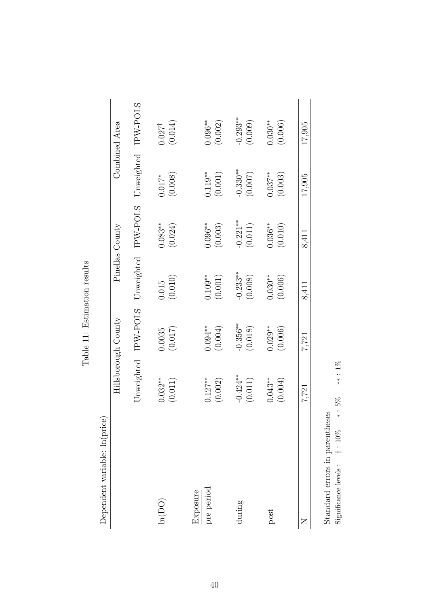<span id="page-39-0"></span>

| Dependent variable: ln(price) |            | Hillsborough County | Pinellas County |             |             | Combined Area   |
|-------------------------------|------------|---------------------|-----------------|-------------|-------------|-----------------|
|                               |            | Unweighted IPW-POLS | Unweighted      | IPW-POLS    | Unweighted  | IPW-POLS        |
| ln(DO)                        | $0.032**$  | (0.017)             | (0.010)         | $0.083**$   | (0.008)     | (0.014)         |
|                               | (0.011)    | 0.0035              | 0.015           | (0.024)     | $0.017$     | $0.027^\dagger$ |
| pre period                    | $0.127***$ | $0.094***$          | $0.109**$       | $0.096***$  | $0.119**$   | $0.096**$       |
| Exposure                      | (0.002)    | (0.004)             | (0.001)         | (0.003)     | (0.001)     | (0.002)         |
| during                        | $-0.424**$ | $-0.356***$         | $-0.233**$      | $-0.221***$ | $-0.330***$ | $-0.293**$      |
|                               | (0.011)    | (0.018)             | (0.008)         | (0.011)     | (0.007)     | (0.009)         |
| post                          | $0.043**$  | $0.029**$           | $0.030**$       | $0.036***$  | $0.037***$  | $0.030**$       |
|                               | (0.004)    | (0.006)             | (0.006)         | (0.010)     | (0.003)     | (0.006)         |
| Z                             | 7,721      | 7,721               | 8,411           | 8,411       | 17,905      | 17,905          |

Table 11: Estimation results Table 11: Estimation results

Significance levels : † : 10% ∗ : 5% ∗\* : 1%  $\begin{minipage}{.4\linewidth} \textbf{Standard errors in parentheses} \\ \textbf{Simificance levels} : \quad \dagger : \; 10\% \quad \ \ast : \; 5\% \end{minipage}$ Standard errors in parentheses

 $**$  :  $1\%$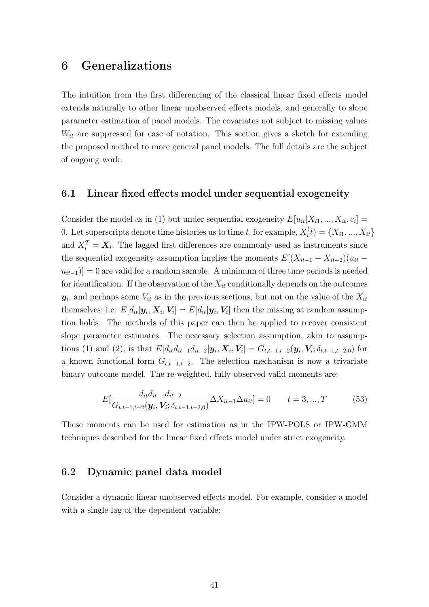# 6 Generalizations

The intuition from the first differencing of the classical linear fixed effects model extends naturally to other linear unobserved effects models, and generally to slope parameter estimation of panel models. The covariates not subject to missing values  $W_{it}$  are suppressed for ease of notation. This section gives a sketch for extending the proposed method to more general panel models. The full details are the subject of ongoing work.

## 6.1 Linear fixed effects model under sequential exogeneity

Consider the model as in [\(1\)](#page-5-0) but under sequential exogeneity  $E[u_{it}|X_{i1},...,X_{it},c_i] =$ 0. Let superscripts denote time histories us to time t, for example,  $X_i^{\langle}$  $X_i^{\{t\}} = \{X_{i1}, ..., X_{it}\}$ and  $X_i^T = \mathbf{X}_i$ . The lagged first differences are commonly used as instruments since the sequential exogeneity assumption implies the moments  $E[(X_{it-1} - X_{it-2})(u_{it}$  $u_{it-1}$ ) = 0 are valid for a random sample. A minimum of three time periods is needed for identification. If the observation of the  $X_{it}$  conditionally depends on the outcomes  $y_i$ , and perhaps some  $V_{it}$  as in the previous sections, but not on the value of the  $X_{it}$ themselves; i.e.  $E[d_{it}|\mathbf{y}_i, \mathbf{X}_i, \mathbf{V}_i] = E[d_{it}|\mathbf{y}_i, \mathbf{V}_i]$  then the missing at random assumption holds. The methods of this paper can then be applied to recover consistent slope parameter estimates. The necessary selection assumption, akin to assumptions (1) and (2), is that  $E[d_{it}d_{it-1}d_{it-2}|\mathbf{y}_i,\mathbf{X}_i,\mathbf{V}_i]=G_{t,t-1,t-2}(\mathbf{y}_i,\mathbf{V}_i;\delta_{t,t-1,t-2,0})$  for a known functional form  $G_{t,t-1,t-2}$ . The selection mechanism is now a trivariate binary outcome model. The re-weighted, fully observed valid moments are:

$$
E\left[\frac{d_{it}d_{it-1}d_{it-2}}{G_{t,t-1,t-2}(\mathbf{y}_i,\mathbf{V}_i;\delta_{t,t-1,t-2,0})}\Delta X_{it-1}\Delta u_{it}\right] = 0 \qquad t = 3,...,T
$$
(53)

These moments can be used for estimation as in the IPW-POLS or IPW-GMM techniques described for the linear fixed effects model under strict exogeneity.

#### 6.2 Dynamic panel data model

Consider a dynamic linear unobserved effects model. For example, consider a model with a single lag of the dependent variable: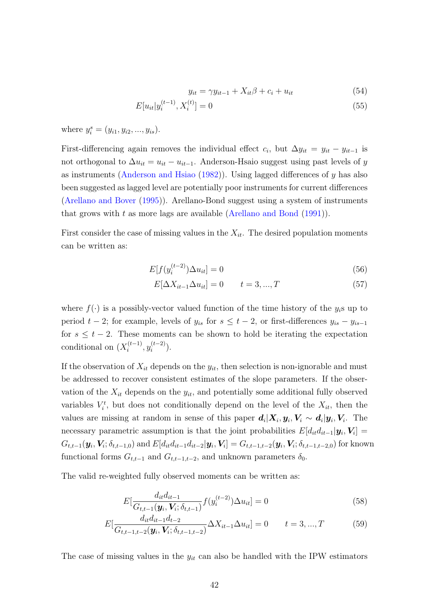$$
y_{it} = \gamma y_{it-1} + X_{it}\beta + c_i + u_{it} \tag{54}
$$

$$
E[u_{it}|y_i^{(t-1)}, X_i^{(t)}] = 0
$$
\n(55)

where  $y_i^s = (y_{i1}, y_{i2}, ..., y_{is}).$ 

First-differencing again removes the individual effect  $c_i$ , but  $\Delta y_{it} = y_{it} - y_{it-1}$  is not orthogonal to  $\Delta u_{it} = u_{it} - u_{it-1}$ . Anderson-Hsaio suggest using past levels of y as instruments [\(Anderson and Hsiao](#page-45-9)  $(1982)$ ). Using lagged differences of y has also been suggested as lagged level are potentially poor instruments for current differences [\(Arellano and Bover](#page-45-10) [\(1995\)](#page-45-10)). Arellano-Bond suggest using a system of instruments that grows with t as more lags are available [\(Arellano and Bond](#page-45-11)  $(1991)$ ).

First consider the case of missing values in the  $X_{it}$ . The desired population moments can be written as:

$$
E[f(y_i^{(t-2)})\Delta u_{it}] = 0\tag{56}
$$

$$
E[\Delta X_{it-1} \Delta u_{it}] = 0 \t t = 3, ..., T \t (57)
$$

where  $f(\cdot)$  is a possibly-vector valued function of the time history of the  $y_i$ s up to period  $t - 2$ ; for example, levels of  $y_{is}$  for  $s \le t - 2$ , or first-differences  $y_{is} - y_{is-1}$ for  $s \leq t - 2$ . These moments can be shown to hold be iterating the expectation conditional on  $(X_i^{(t-1)}$  $y_i^{(t-1)}, y_i^{(t-2)}$  $i^{(t-2)}$ ).

If the observation of  $X_{it}$  depends on the  $y_{it}$ , then selection is non-ignorable and must be addressed to recover consistent estimates of the slope parameters. If the observation of the  $X_{it}$  depends on the  $y_{it}$ , and potentially some additional fully observed variables  $V_i^t$ , but does not conditionally depend on the level of the  $X_{it}$ , then the values are missing at random in sense of this paper  $d_i|X_i, y_i, V_i \sim d_i|y_i, V_i$ . The necessary parametric assumption is that the joint probabilities  $E[d_{it}d_{it-1}|\mathbf{y}_i, \mathbf{V}_i] =$  $G_{t,t-1}(\bm{y}_i, \bm{V}_i; \delta_{t,t-1,0}) \text{ and } E[d_{it}d_{it-1}d_{it-2}|\bm{y}_i, \bm{V}_i] = G_{t,t-1,t-2}(\bm{y}_i, \bm{V}_i; \delta_{t,t-1,t-2,0}) \text{ for known}$ functional forms  $G_{t,t-1}$  and  $G_{t,t-1,t-2}$ , and unknown parameters  $\delta_0$ .

The valid re-weighted fully observed moments can be written as:

$$
E\left[\frac{d_{it}d_{it-1}}{G_{t,t-1}(\mathbf{y}_i, \mathbf{V}_i; \delta_{t,t-1})} f(y_i^{(t-2)}) \Delta u_{it}\right] = 0
$$
\n(58)

$$
E\left[\frac{d_{it}d_{it-1}d_{t-2}}{G_{t,t-1,t-2}(\mathbf{y}_i,\mathbf{V}_i;\delta_{t,t-1,t-2})}\Delta X_{it-1}\Delta u_{it}\right] = 0 \qquad t = 3,...,T
$$
(59)

The case of missing values in the  $y_{it}$  can also be handled with the IPW estimators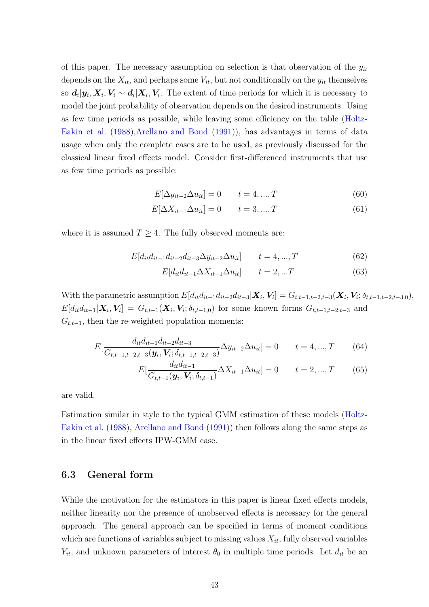of this paper. The necessary assumption on selection is that observation of the  $y_{it}$ depends on the  $X_{it}$ , and perhaps some  $V_{it}$ , but not conditionally on the  $y_{it}$  themselves so  $d_i|y_i, X_i, V_i \sim d_i|X_i, V_i$ . The extent of time periods for which it is necessary to model the joint probability of observation depends on the desired instruments. Using as few time periods as possible, while leaving some efficiency on the table [\(Holtz-](#page-45-12)[Eakin et al.](#page-45-12) [\(1988\)](#page-45-12)[,Arellano and Bond](#page-45-11) [\(1991\)](#page-45-11)), has advantages in terms of data usage when only the complete cases are to be used, as previously discussed for the classical linear fixed effects model. Consider first-differenced instruments that use as few time periods as possible:

$$
E[\Delta y_{it-2} \Delta u_{it}] = 0 \qquad t = 4, ..., T \tag{60}
$$

$$
E[\Delta X_{it-1} \Delta u_{it}] = 0 \qquad t = 3, ..., T \qquad (61)
$$

where it is assumed  $T \geq 4$ . The fully observed moments are:

$$
E[d_{it}d_{it-1}d_{it-2}d_{it-3}\Delta y_{it-2}\Delta u_{it}] \t t = 4,...,T
$$
\t(62)

$$
E[d_{it}d_{it-1}\Delta X_{it-1}\Delta u_{it}] \qquad t=2,...T \tag{63}
$$

With the parametric assumption  $E[d_{it}d_{it-1}d_{it-2}d_{it-3}|\bm{X}_i, \bm{V}_i] = G_{t,t-1,t-2,t-3}(\bm{X}_i, \bm{V}_i; \delta_{t,t-1,t-2,t-3,0}),$  $E[d_{it}d_{it-1}|\bm{X}_i,\bm{V}_i] = G_{t,t-1}(\bm{X}_i,\bm{V}_i;\delta_{t,t-1,0})$  for some known forms  $G_{t,t-1,t-2,t-3}$  and  $G_{t,t-1}$ , then the re-weighted population moments:

$$
E\left[\frac{d_{it}d_{it-1}d_{it-2}d_{it-3}}{G_{t,t-1,t-2,t-3}(\mathbf{y}_i,\mathbf{V}_i;\delta_{t,t-1,t-2,t-3})}\Delta y_{it-2}\Delta u_{it}\right] = 0 \qquad t = 4,...,T \qquad (64)
$$

$$
E\left[\frac{d_{it}d_{it-1}}{G_{t,t-1}(\mathbf{y}_i,\mathbf{V}_i;\delta_{t,t-1})}\Delta X_{it-1}\Delta u_{it}\right] = 0 \qquad t = 2,...,T \tag{65}
$$

are valid.

Estimation similar in style to the typical GMM estimation of these models [\(Holtz-](#page-45-12)[Eakin et al.](#page-45-12) [\(1988\)](#page-45-12), [Arellano and Bond](#page-45-11) [\(1991\)](#page-45-11)) then follows along the same steps as in the linear fixed effects IPW-GMM case.

## 6.3 General form

While the motivation for the estimators in this paper is linear fixed effects models, neither linearity nor the presence of unobserved effects is necessary for the general approach. The general approach can be specified in terms of moment conditions which are functions of variables subject to missing values  $X_{it}$ , fully observed variables  $Y_{it}$ , and unknown parameters of interest  $\theta_0$  in multiple time periods. Let  $d_{it}$  be an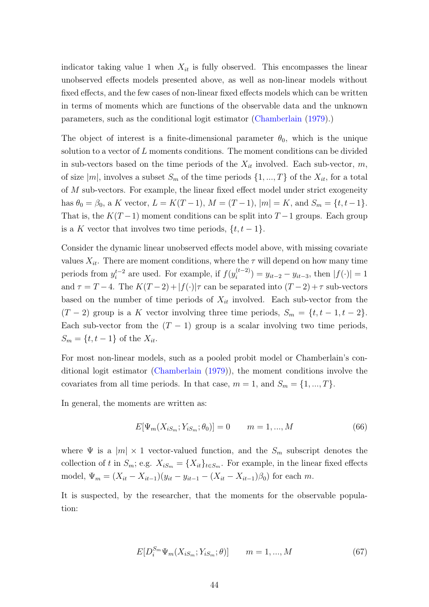indicator taking value 1 when  $X_{it}$  is fully observed. This encompasses the linear unobserved effects models presented above, as well as non-linear models without fixed effects, and the few cases of non-linear fixed effects models which can be written in terms of moments which are functions of the observable data and the unknown parameters, such as the conditional logit estimator [\(Chamberlain](#page-45-13) [\(1979\)](#page-45-13).)

The object of interest is a finite-dimensional parameter  $\theta_0$ , which is the unique solution to a vector of L moments conditions. The moment conditions can be divided in sub-vectors based on the time periods of the  $X_{it}$  involved. Each sub-vector,  $m$ , of size  $|m|$ , involves a subset  $S_m$  of the time periods  $\{1, ..., T\}$  of the  $X_{it}$ , for a total of M sub-vectors. For example, the linear fixed effect model under strict exogeneity has  $\theta_0 = \beta_0$ , a K vector,  $L = K(T-1)$ ,  $M = (T-1)$ ,  $|m| = K$ , and  $S_m = \{t, t-1\}$ . That is, the  $K(T-1)$  moment conditions can be split into  $T-1$  groups. Each group is a K vector that involves two time periods,  $\{t, t-1\}$ .

Consider the dynamic linear unobserved effects model above, with missing covariate values  $X_{it}$ . There are moment conditions, where the  $\tau$  will depend on how many time periods from  $y_i^{t-2}$  $i_t^{t-2}$  are used. For example, if  $f(y_i^{(t-2)})$  $y_i^{(t-2)}$ ) =  $y_{it-2} - y_{it-3}$ , then  $|f(\cdot)| = 1$ and  $\tau = T - 4$ . The  $K(T - 2) + |f(\cdot)|\tau$  can be separated into  $(T - 2) + \tau$  sub-vectors based on the number of time periods of  $X_{it}$  involved. Each sub-vector from the  $(T-2)$  group is a K vector involving three time periods,  $S_m = \{t, t-1, t-2\}.$ Each sub-vector from the  $(T - 1)$  group is a scalar involving two time periods,  $S_m = \{t, t-1\}$  of the  $X_{it}$ .

For most non-linear models, such as a pooled probit model or Chamberlain's conditional logit estimator [\(Chamberlain](#page-45-13) [\(1979\)](#page-45-13)), the moment conditions involve the covariates from all time periods. In that case,  $m = 1$ , and  $S_m = \{1, ..., T\}$ .

In general, the moments are written as:

$$
E[\Psi_m(X_{iS_m}; Y_{iS_m}; \theta_0)] = 0 \qquad m = 1, ..., M \tag{66}
$$

where  $\Psi$  is a  $|m| \times 1$  vector-valued function, and the  $S_m$  subscript denotes the collection of t in  $S_m$ ; e.g.  $X_{iS_m} = \{X_{it}\}_{t \in S_m}$ . For example, in the linear fixed effects model,  $\Psi_m = (X_{it} - X_{it-1})(y_{it} - y_{it-1} - (X_{it} - X_{it-1})\beta_0)$  for each m.

It is suspected, by the researcher, that the moments for the observable population:

$$
E[D_i^{S_m} \Psi_m(X_{iS_m}; Y_{iS_m}; \theta)] \qquad m = 1, ..., M \qquad (67)
$$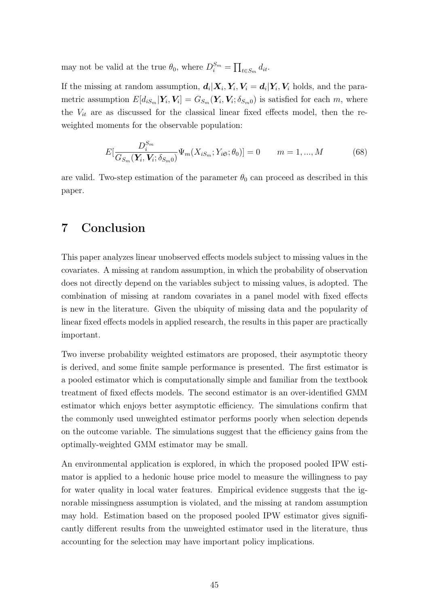may not be valid at the true  $\theta_0$ , where  $D_i^{S_m} = \prod_{t \in S_m} d_{it}$ .

If the missing at random assumption,  $d_i|X_i, Y_i, V_i = d_i|Y_i, V_i$  holds, and the parametric assumption  $E[d_{iS_m}|\boldsymbol{Y}_i, \boldsymbol{V}_i] = G_{S_m}(\boldsymbol{Y}_i, \boldsymbol{V}_i; \delta_{S_m 0})$  is satisfied for each m, where the  $V_{it}$  are as discussed for the classical linear fixed effects model, then the reweighted moments for the observable population:

$$
E[\frac{D_i^{S_m}}{G_{S_m}(\bm{Y}_i, \bm{V}_i; \delta_{S_m 0})} \Psi_m(X_{i S_m}; Y_{i \mathfrak{S}}; \theta_0)] = 0 \qquad m = 1, ..., M \qquad (68)
$$

are valid. Two-step estimation of the parameter  $\theta_0$  can proceed as described in this paper.

# 7 Conclusion

This paper analyzes linear unobserved effects models subject to missing values in the covariates. A missing at random assumption, in which the probability of observation does not directly depend on the variables subject to missing values, is adopted. The combination of missing at random covariates in a panel model with fixed effects is new in the literature. Given the ubiquity of missing data and the popularity of linear fixed effects models in applied research, the results in this paper are practically important.

Two inverse probability weighted estimators are proposed, their asymptotic theory is derived, and some finite sample performance is presented. The first estimator is a pooled estimator which is computationally simple and familiar from the textbook treatment of fixed effects models. The second estimator is an over-identified GMM estimator which enjoys better asymptotic efficiency. The simulations confirm that the commonly used unweighted estimator performs poorly when selection depends on the outcome variable. The simulations suggest that the efficiency gains from the optimally-weighted GMM estimator may be small.

An environmental application is explored, in which the proposed pooled IPW estimator is applied to a hedonic house price model to measure the willingness to pay for water quality in local water features. Empirical evidence suggests that the ignorable missingness assumption is violated, and the missing at random assumption may hold. Estimation based on the proposed pooled IPW estimator gives significantly different results from the unweighted estimator used in the literature, thus accounting for the selection may have important policy implications.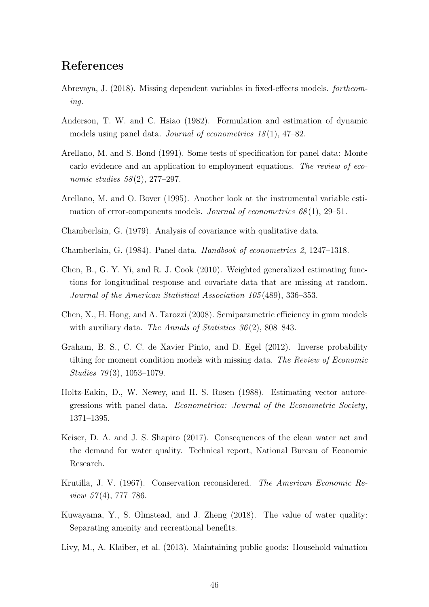# References

- <span id="page-45-2"></span>Abrevaya, J. (2018). Missing dependent variables in fixed-effects models. forthcoming.
- <span id="page-45-9"></span>Anderson, T. W. and C. Hsiao (1982). Formulation and estimation of dynamic models using panel data. Journal of econometrics  $18(1)$ ,  $47-82$ .
- <span id="page-45-11"></span>Arellano, M. and S. Bond (1991). Some tests of specification for panel data: Monte carlo evidence and an application to employment equations. The review of economic studies 58(2), 277–297.
- <span id="page-45-10"></span>Arellano, M. and O. Bover (1995). Another look at the instrumental variable estimation of error-components models. Journal of econometrics  $68(1)$ , 29–51.
- <span id="page-45-13"></span>Chamberlain, G. (1979). Analysis of covariance with qualitative data.
- <span id="page-45-5"></span>Chamberlain, G. (1984). Panel data. Handbook of econometrics 2, 1247–1318.
- <span id="page-45-1"></span>Chen, B., G. Y. Yi, and R. J. Cook (2010). Weighted generalized estimating functions for longitudinal response and covariate data that are missing at random. Journal of the American Statistical Association 105 (489), 336–353.
- <span id="page-45-3"></span>Chen, X., H. Hong, and A. Tarozzi (2008). Semiparametric efficiency in gmm models with auxiliary data. The Annals of Statistics 36(2), 808–843.
- <span id="page-45-4"></span>Graham, B. S., C. C. de Xavier Pinto, and D. Egel (2012). Inverse probability tilting for moment condition models with missing data. The Review of Economic Studies  $79(3)$ , 1053-1079.
- <span id="page-45-12"></span>Holtz-Eakin, D., W. Newey, and H. S. Rosen (1988). Estimating vector autoregressions with panel data. Econometrica: Journal of the Econometric Society , 1371–1395.
- <span id="page-45-7"></span>Keiser, D. A. and J. S. Shapiro (2017). Consequences of the clean water act and the demand for water quality. Technical report, National Bureau of Economic Research.
- <span id="page-45-6"></span>Krutilla, J. V. (1967). Conservation reconsidered. The American Economic Review  $57(4)$ , 777–786.
- <span id="page-45-0"></span>Kuwayama, Y., S. Olmstead, and J. Zheng (2018). The value of water quality: Separating amenity and recreational benefits.
- <span id="page-45-8"></span>Livy, M., A. Klaiber, et al. (2013). Maintaining public goods: Household valuation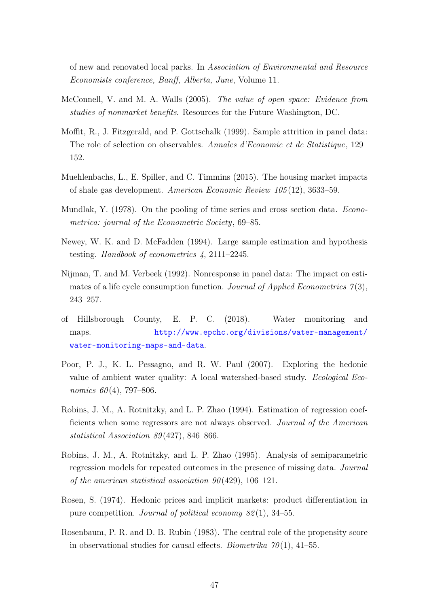of new and renovated local parks. In Association of Environmental and Resource Economists conference, Banff, Alberta, June, Volume 11.

- <span id="page-46-7"></span>McConnell, V. and M. A. Walls (2005). The value of open space: Evidence from studies of nonmarket benefits. Resources for the Future Washington, DC.
- <span id="page-46-1"></span>Moffit, R., J. Fitzgerald, and P. Gottschalk (1999). Sample attrition in panel data: The role of selection on observables. Annales d'Economie et de Statistique, 129– 152.
- <span id="page-46-10"></span>Muehlenbachs, L., E. Spiller, and C. Timmins (2015). The housing market impacts of shale gas development. American Economic Review 105 (12), 3633–59.
- <span id="page-46-5"></span>Mundlak, Y. (1978). On the pooling of time series and cross section data. Econometrica: journal of the Econometric Society, 69–85.
- <span id="page-46-6"></span>Newey, W. K. and D. McFadden (1994). Large sample estimation and hypothesis testing. Handbook of econometrics 4, 2111–2245.
- <span id="page-46-2"></span>Nijman, T. and M. Verbeek (1992). Nonresponse in panel data: The impact on estimates of a life cycle consumption function. Journal of Applied Econometrics  $\gamma(3)$ , 243–257.
- <span id="page-46-11"></span>of Hillsborough County, E. P. C. (2018). Water monitoring and maps. [http://www.epchc.org/divisions/water-management/](http://www.epchc.org/divisions/water-management/water-monitoring-maps-and-data) [water-monitoring-maps-and-data](http://www.epchc.org/divisions/water-management/water-monitoring-maps-and-data).
- <span id="page-46-8"></span>Poor, P. J., K. L. Pessagno, and R. W. Paul (2007). Exploring the hedonic value of ambient water quality: A local watershed-based study. Ecological Economics  $60(4)$ , 797–806.
- <span id="page-46-4"></span>Robins, J. M., A. Rotnitzky, and L. P. Zhao (1994). Estimation of regression coefficients when some regressors are not always observed. Journal of the American statistical Association 89 (427), 846–866.
- <span id="page-46-0"></span>Robins, J. M., A. Rotnitzky, and L. P. Zhao (1995). Analysis of semiparametric regression models for repeated outcomes in the presence of missing data. Journal of the american statistical association  $90(429)$ , 106-121.
- <span id="page-46-9"></span>Rosen, S. (1974). Hedonic prices and implicit markets: product differentiation in pure competition. Journal of political economy 82 (1), 34–55.
- <span id="page-46-3"></span>Rosenbaum, P. R. and D. B. Rubin (1983). The central role of the propensity score in observational studies for causal effects. *Biometrika*  $70(1)$ , 41–55.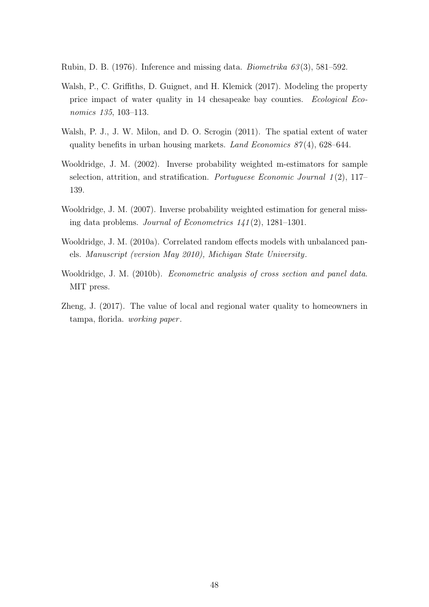<span id="page-47-0"></span>Rubin, D. B. (1976). Inference and missing data. *Biometrika*  $63(3)$ , 581–592.

- <span id="page-47-5"></span>Walsh, P., C. Griffiths, D. Guignet, and H. Klemick (2017). Modeling the property price impact of water quality in 14 chesapeake bay counties. Ecological Economics 135, 103–113.
- <span id="page-47-7"></span>Walsh, P. J., J. W. Milon, and D. O. Scrogin (2011). The spatial extent of water quality benefits in urban housing markets. Land Economics  $87(4)$ , 628–644.
- <span id="page-47-4"></span>Wooldridge, J. M. (2002). Inverse probability weighted m-estimators for sample selection, attrition, and stratification. Portuguese Economic Journal 1(2), 117– 139.
- <span id="page-47-3"></span>Wooldridge, J. M. (2007). Inverse probability weighted estimation for general missing data problems. Journal of Econometrics  $1/41(2)$ , 1281–1301.
- <span id="page-47-1"></span>Wooldridge, J. M. (2010a). Correlated random effects models with unbalanced panels. Manuscript (version May 2010), Michigan State University .
- <span id="page-47-2"></span>Wooldridge, J. M. (2010b). Econometric analysis of cross section and panel data. MIT press.
- <span id="page-47-6"></span>Zheng, J. (2017). The value of local and regional water quality to homeowners in tampa, florida. working paper .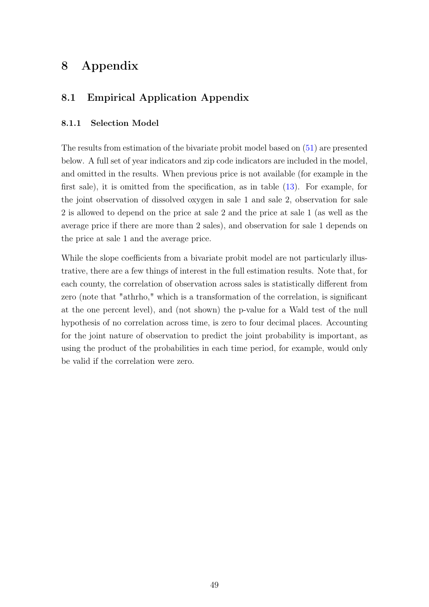# 8 Appendix

# 8.1 Empirical Application Appendix

#### 8.1.1 Selection Model

The results from estimation of the bivariate probit model based on [\(51\)](#page-31-0) are presented below. A full set of year indicators and zip code indicators are included in the model, and omitted in the results. When previous price is not available (for example in the first sale), it is omitted from the specification, as in table [\(13\)](#page-50-0). For example, for the joint observation of dissolved oxygen in sale 1 and sale 2, observation for sale 2 is allowed to depend on the price at sale 2 and the price at sale 1 (as well as the average price if there are more than 2 sales), and observation for sale 1 depends on the price at sale 1 and the average price.

While the slope coefficients from a bivariate probit model are not particularly illustrative, there are a few things of interest in the full estimation results. Note that, for each county, the correlation of observation across sales is statistically different from zero (note that "athrho," which is a transformation of the correlation, is significant at the one percent level), and (not shown) the p-value for a Wald test of the null hypothesis of no correlation across time, is zero to four decimal places. Accounting for the joint nature of observation to predict the joint probability is important, as using the product of the probabilities in each time period, for example, would only be valid if the correlation were zero.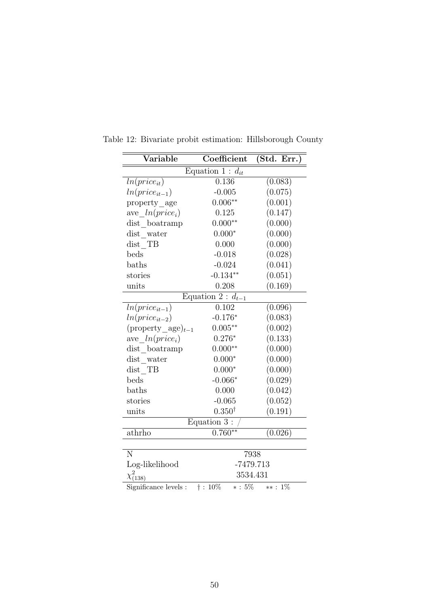| $\overline{\text{Variable}}$   | Coefficient            | (Std. Err.)          |
|--------------------------------|------------------------|----------------------|
|                                | Equation 1 : $d_{it}$  |                      |
| $ln(price_{it})$               | $\overline{0.136}$     | (0.083)              |
| $ln(price_{it-1})$             | $-0.005$               | (0.075)              |
| property_age                   | $0.006**$              | (0.001)              |
| ave $ln(price_i)$              | 0.125                  | (0.147)              |
| dist boatramp                  | $0.000**$              | (0.000)              |
| $dist$ water                   | $0.000*$               | (0.000)              |
| $dist$ TB                      | 0.000                  | (0.000)              |
| beds                           | $-0.018$               | (0.028)              |
| baths                          | $-0.024$               | (0.041)              |
| stories                        | $-0.134**$             | (0.051)              |
| units                          | 0.208                  | (0.169)              |
|                                | Equation 2 : $d_{t-1}$ |                      |
| $ln(price_{it-1})$             | 0.102                  | $\overline{(0.096)}$ |
| $ln(price_{it-2})$             | $-0.176*$              | (0.083)              |
| $(\text{property\_age})_{t-1}$ | $0.005**$              | (0.002)              |
| ave $ln(price_i)$              | $0.276*$               | (0.133)              |
| dist_boatramp                  | $0.000**$              | (0.000)              |
| dist water                     | $0.000*$               | (0.000)              |
| dist TB                        | $0.000*$               | (0.000)              |
| beds                           | $-0.066*$              | (0.029)              |
| baths                          | 0.000                  | (0.042)              |
| stories                        | $-0.065$               | (0.052)              |
| units                          | $0.350^{\dagger}$      | (0.191)              |
|                                | Equation 3:            |                      |
| athrho                         | $0.760**$              | (0.026)              |
|                                |                        |                      |
| N                              |                        | 7938                 |
| Log-likelihood                 | $-7479.713$            |                      |
| $\chi^2_{(\underline{138})}$   | 3534.431               |                      |
| Significance levels :          | $\dagger$ : 10%        | $*: 5\%$ $**: 1\%$   |

Table 12: Bivariate probit estimation: Hillsborough County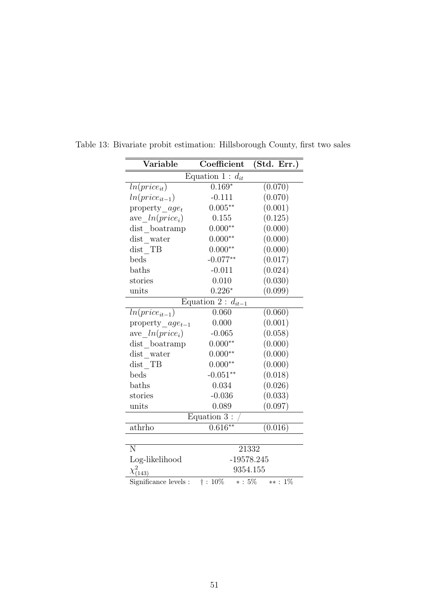| $\overline{\text{Variable}}$ | Coefficient             | (Std. Err.)        |
|------------------------------|-------------------------|--------------------|
|                              | Equation 1 : $d_{it}$   |                    |
| $ln(price_{it})$             | $0.169*$                | (0.070)            |
| $ln(price_{it-1})$           | $-0.111$                | (0.070)            |
| property $\_{age_t}$         | $0.005**$               | (0.001)            |
| ave $ln(price_i)$            | 0.155                   | (0.125)            |
| dist_boatramp                | $0.000**$               | (0.000)            |
| dist water                   | $0.000**$               | (0.000)            |
| dist TB                      | $0.000**$               | (0.000)            |
| beds                         | $-0.077**$              | (0.017)            |
| baths                        | $-0.011$                | (0.024)            |
| stories                      | 0.010                   | (0.030)            |
| units                        | $0.226*$                | (0.099)            |
|                              | Equation 2 : $d_{it-1}$ |                    |
| $ln(price_{it-1})$           | 0.060                   | (0.060)            |
| property $age_{t-1}$         | 0.000                   | (0.001)            |
| ave $ln(price_i)$            | $-0.065$                | (0.058)            |
| dist boatramp                | $0.000**$               | (0.000)            |
| $dist$ water                 | $0.000**$               | (0.000)            |
| $dist$ TB                    | $0.000**$               | (0.000)            |
| beds                         | $-0.051**$              | (0.018)            |
| baths                        | 0.034                   | (0.026)            |
| stories                      | $-0.036$                | (0.033)            |
| units                        | 0.089                   | (0.097)            |
|                              | Equation 3:             |                    |
| athrho                       | $0.616**$               | (0.016)            |
| $\overline{\text{N}}$        | 21332                   |                    |
| Log-likelihood               | $-19578.245$            |                    |
| $\chi^2_{(143)}$             | 9354.155                |                    |
| Significance levels :        | $\dagger$ : 10%         | $*: 5\%$ $**: 1\%$ |

<span id="page-50-0"></span>Table 13: Bivariate probit estimation: Hillsborough County, first two sales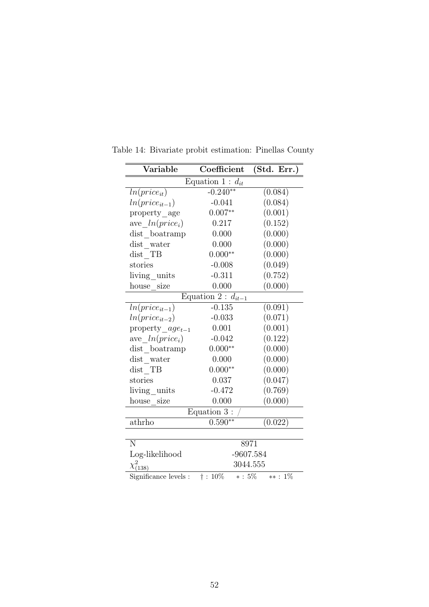| Variable                                                 | Coefficient | (Std. Err.) |  |
|----------------------------------------------------------|-------------|-------------|--|
| Equation 1 : $d_{it}$                                    |             |             |  |
| $ln(price_{it})$                                         | $-0.240**$  | (0.084)     |  |
| $ln(price_{it-1})$                                       | $-0.041$    | (0.084)     |  |
| property age                                             | $0.007**$   | (0.001)     |  |
| ave $ln(price_i)$                                        | 0.217       | (0.152)     |  |
| dist_boatramp                                            | 0.000       | (0.000)     |  |
| $dist$ water                                             | 0.000       | (0.000)     |  |
| dist TB                                                  | $0.000**$   | (0.000)     |  |
| stories                                                  | $-0.008$    | (0.049)     |  |
| living units                                             | $-0.311$    | (0.752)     |  |
| house size                                               | 0.000       | (0.000)     |  |
| Equation 2 : $d_{it-1}$                                  |             |             |  |
| $ln(price_{it-1})$                                       | $-0.135$    | (0.091)     |  |
| $ln(price_{it-2})$                                       | $-0.033$    | (0.071)     |  |
| property $age_{t-1}$                                     | 0.001       | (0.001)     |  |
| ave $ln(price_i)$                                        | $-0.042$    | (0.122)     |  |
| dist boatramp                                            | $0.000**$   | (0.000)     |  |
| $dist$ water                                             | 0.000       | (0.000)     |  |
| dist TB                                                  | $0.000**$   | (0.000)     |  |
| stories                                                  | 0.037       | (0.047)     |  |
| living_units                                             | $-0.472$    | (0.769)     |  |
| house size                                               | 0.000       | (0.000)     |  |
| $\overline{\text{Equation}}$ 3 :                         |             |             |  |
| athrho                                                   | $0.590**$   | (0.022)     |  |
|                                                          |             |             |  |
| N                                                        | 8971        |             |  |
| Log-likelihood                                           | $-9607.584$ |             |  |
| $\chi^2_{(138)}$                                         | 3044.555    |             |  |
| Significance levels : $\dagger$ : 10% $*$ : 5% $**$ : 1% |             |             |  |

Table 14: Bivariate probit estimation: Pinellas County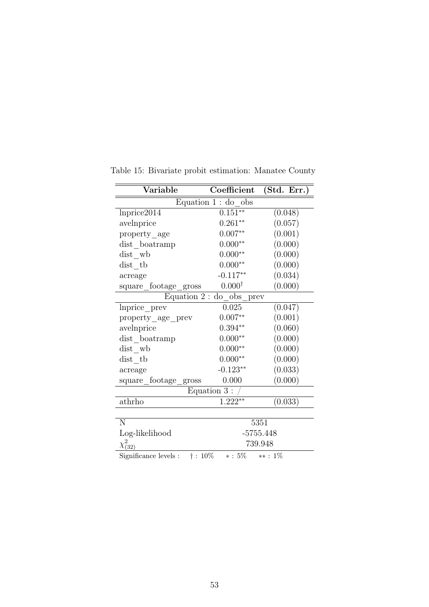| $\overline{\text{Variable}}$                                        | Coefficient        | (Std. Err.) |  |  |
|---------------------------------------------------------------------|--------------------|-------------|--|--|
| Equation $1:$ do obs                                                |                    |             |  |  |
| lnprice2014                                                         | $0.151**$          | (0.048)     |  |  |
| avelnprice                                                          | $0.261**$          | (0.057)     |  |  |
| property age                                                        | $0.007**$          | (0.001)     |  |  |
| dist_boatramp                                                       | $0.000**$          | (0.000)     |  |  |
| dist wb                                                             | $0.000**$          | (0.000)     |  |  |
| dist tb                                                             | $0.000**$          | (0.000)     |  |  |
| acreage                                                             | $-0.117**$         | (0.034)     |  |  |
| square_footage_gross                                                | $0.000^{\dagger}$  | (0.000)     |  |  |
| Equation $2:$ do obs prev                                           |                    |             |  |  |
| lnprice_prev                                                        | 0.025              | (0.047)     |  |  |
| property_age_prev                                                   | $0.007**$          | (0.001)     |  |  |
| avelnprice                                                          | $0.394^{\ast\ast}$ | (0.060)     |  |  |
| dist boatramp                                                       | $0.000**$          | (0.000)     |  |  |
| dist wb                                                             | $0.000**$          | (0.000)     |  |  |
| dist tb                                                             | $0.000**$          | (0.000)     |  |  |
| acreage                                                             | $-0.123**$         | (0.033)     |  |  |
| square_footage_gross                                                | 0.000              | (0.000)     |  |  |
| Equation $3:$                                                       |                    |             |  |  |
| athrho                                                              | $1.222**$          | (0.033)     |  |  |
|                                                                     |                    |             |  |  |
| N                                                                   | 5351               |             |  |  |
| Log-likelihood                                                      | $-5755.448$        |             |  |  |
| $\chi_{(32)}^2$                                                     | 739.948            |             |  |  |
| Significance levels : $\ddagger$ : 10\%<br>$*$ : $5\%$<br>$**: 1\%$ |                    |             |  |  |

Table 15: Bivariate probit estimation: Manatee County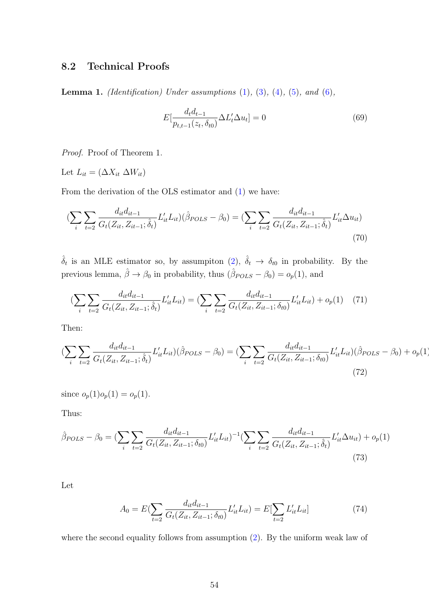## 8.2 Technical Proofs

<span id="page-53-0"></span>**Lemma 1.** (Identification) Under assumptions  $(1)$ ,  $(3)$ ,  $(4)$ ,  $(5)$ , and  $(6)$ ,

$$
E\left[\frac{d_t d_{t-1}}{p_{t,t-1}(z_t, \delta_{t0})} \Delta L'_t \Delta u_t\right] = 0
$$
\n(69)

Proof. Proof of Theorem 1.

Let  $L_{it} = (\Delta X_{it} \Delta W_{it})$ 

From the derivation of the OLS estimator and [\(1\)](#page-5-0) we have:

$$
\left(\sum_{i}\sum_{t=2}\frac{d_{it}d_{it-1}}{G_{t}(Z_{it}, Z_{it-1}; \hat{\delta}_{t})}L'_{it}L_{it}\right)\left(\hat{\beta}_{POLS} - \beta_{0}\right) = \left(\sum_{i}\sum_{t=2}\frac{d_{it}d_{it-1}}{G_{t}(Z_{it}, Z_{it-1}; \hat{\delta}_{t})}L'_{it}\Delta u_{it}\right)
$$
\n(70)

 $\hat{\delta}_t$  is an MLE estimator so, by assumpiton [\(2\)](#page-8-0),  $\hat{\delta}_t \to \delta_{t0}$  in probability. By the previous lemma,  $\hat{\beta} \to \beta_0$  in probability, thus  $(\hat{\beta}_{POLS} - \beta_0) = o_p(1)$ , and

$$
\left(\sum_{i}\sum_{t=2}\frac{d_{it}d_{it-1}}{G_{t}(Z_{it}, Z_{it-1}; \hat{\delta}_{t})}L'_{it}L_{it}\right) = \left(\sum_{i}\sum_{t=2}\frac{d_{it}d_{it-1}}{G_{t}(Z_{it}, Z_{it-1}; \delta_{t0})}L'_{it}L_{it}\right) + o_{p}(1) \tag{71}
$$

Then:

$$
\left(\sum_{i}\sum_{t=2}\frac{d_{it}d_{it-1}}{G_{t}(Z_{it}, Z_{it-1}; \hat{\delta}_{t})}L'_{it}L_{it}\right)\left(\hat{\beta}_{POLS} - \beta_{0}\right) = \left(\sum_{i}\sum_{t=2}\frac{d_{it}d_{it-1}}{G_{t}(Z_{it}, Z_{it-1}; \delta_{t0})}L'_{it}L_{it}\right)\left(\hat{\beta}_{POLS} - \beta_{0}\right) + o_{p}(1)
$$
\n(72)

since  $o_p(1)o_p(1) = o_p(1)$ .

Thus:

$$
\hat{\beta}_{POLS} - \beta_0 = \left(\sum_i \sum_{t=2} \frac{d_{it} d_{it-1}}{G_t (Z_{it}, Z_{it-1}; \delta_{t0})} L'_{it} L_{it}\right)^{-1} \left(\sum_i \sum_{t=2} \frac{d_{it} d_{it-1}}{G_t (Z_{it}, Z_{it-1}; \hat{\delta}_t)} L'_{it} \Delta u_{it}\right) + o_p(1)
$$
\n(73)

Let

$$
A_0 = E(\sum_{t=2} \frac{d_{it} d_{it-1}}{G_t(Z_{it}, Z_{it-1}; \delta_{t0})} L'_{it} L_{it}) = E[\sum_{t=2} L'_{it} L_{it}]
$$
\n(74)

where the second equality follows from assumption  $(2)$ . By the uniform weak law of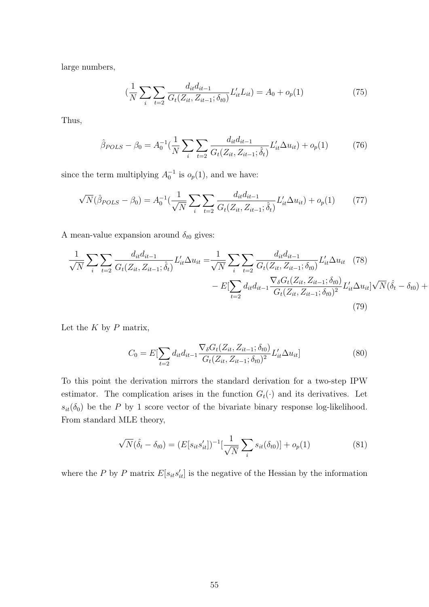large numbers,

$$
\left(\frac{1}{N}\sum_{i}\sum_{t=2}\frac{d_{it}d_{it-1}}{G_t(Z_{it}, Z_{it-1}; \delta_{t0})}L'_{it}L_{it}\right) = A_0 + o_p(1) \tag{75}
$$

Thus,

$$
\hat{\beta}_{POLS} - \beta_0 = A_0^{-1} \left(\frac{1}{N} \sum_i \sum_{t=2} \frac{d_{it} d_{it-1}}{G_t (Z_{it}, Z_{it-1}; \hat{\delta}_t)} L'_{it} \Delta u_{it}\right) + o_p(1) \tag{76}
$$

since the term multiplying  $A_0^{-1}$  is  $o_p(1)$ , and we have:

$$
\sqrt{N}(\hat{\beta}_{POLS} - \beta_0) = A_0^{-1} \left(\frac{1}{\sqrt{N}} \sum_i \sum_{t=2} \frac{d_{it} d_{it-1}}{G_t(Z_{it}, Z_{it-1}; \hat{\delta}_t)} L'_{it} \Delta u_{it}\right) + o_p(1) \tag{77}
$$

A mean-value expansion around  $\delta_{t0}$  gives:

$$
\frac{1}{\sqrt{N}} \sum_{i} \sum_{t=2} \frac{d_{it} d_{it-1}}{G_t(Z_{it}, Z_{it-1}; \hat{\delta}_t)} L'_{it} \Delta u_{it} = \frac{1}{\sqrt{N}} \sum_{i} \sum_{t=2} \frac{d_{it} d_{it-1}}{G_t(Z_{it}, Z_{it-1}; \delta_{t0})} L'_{it} \Delta u_{it} \quad (78)
$$

$$
- E[\sum_{t=2} d_{it} d_{it-1} \frac{\nabla_{\delta} G_t(Z_{it}, Z_{it-1}; \delta_{t0})}{G_t(Z_{it}, Z_{it-1}; \delta_{t0})^2} L'_{it} \Delta u_{it}] \sqrt{N} (\hat{\delta}_t - \delta_{t0}) +
$$
(79)

Let the  $K$  by  $P$  matrix,

$$
C_0 = E[\sum_{t=2} d_{it} d_{it-1} \frac{\nabla_{\delta} G_t(Z_{it}, Z_{it-1}; \delta_{t0})}{G_t(Z_{it}, Z_{it-1}; \delta_{t0})^2} L'_{it} \Delta u_{it}]
$$
\n(80)

To this point the derivation mirrors the standard derivation for a two-step IPW estimator. The complication arises in the function  $G_t(\cdot)$  and its derivatives. Let  $s_{it}(\delta_0)$  be the P by 1 score vector of the bivariate binary response log-likelihood. From standard MLE theory,

$$
\sqrt{N}(\hat{\delta}_t - \delta_{t0}) = (E[s_{it} s'_{it}])^{-1} \left[\frac{1}{\sqrt{N}} \sum_i s_{it}(\delta_{t0})\right] + o_p(1)
$$
\n(81)

where the P by P matrix  $E[s_{it} s'_{it}]$  is the negative of the Hessian by the information